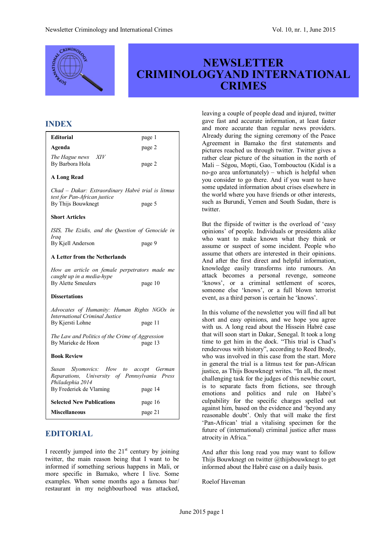

# **NEWSLETTER CRIMINOLOGYAND INTERNATIONAL CRIMES**

# **INDEX**

| <b>Editorial</b>                                                                                            | page 1  |
|-------------------------------------------------------------------------------------------------------------|---------|
| Agenda                                                                                                      | page 2  |
| The Hague news XIV<br>By Barbora Hola                                                                       | page 2  |
| <b>A Long Read</b>                                                                                          |         |
| Chad - Dakar: Extraordinary Habré trial is litmus<br>test for Pan-African justice<br>By Thijs Bouwknegt     |         |
|                                                                                                             | page 5  |
| <b>Short Articles</b>                                                                                       |         |
| ISIS, The Ezidis, and the Question of Genocide in<br><b>Iraq</b>                                            |         |
| By Kjell Anderson                                                                                           | page 9  |
| A Letter from the Netherlands                                                                               |         |
| How an article on female perpetrators made me<br>caught up in a media-hype                                  |         |
| <b>By Alette Smeulers</b>                                                                                   | page 10 |
| <b>Dissertations</b>                                                                                        |         |
| Advocates of Humanity: Human Rights NGOs in<br><b>International Criminal Justice</b>                        |         |
| By Kjersti Lohne                                                                                            | page 11 |
| The Law and Politics of the Crime of Aggression<br>By Marieke de Hoon<br>page 13                            |         |
| <b>Book Review</b>                                                                                          |         |
| Susan Slyomovics: How to accept German<br>Reparations, University of Pennsylvania Press<br>Philadephia 2014 |         |
| By Frederiek de Vlaming                                                                                     | page 14 |
| <b>Selected New Publications</b>                                                                            | page 16 |
| <b>Miscellaneous</b>                                                                                        | page 21 |

# **EDITORIAL**

I recently jumped into the  $21<sup>st</sup>$  century by joining twitter, the main reason being that I want to be informed if something serious happens in Mali, or more specific in Bamako, where I live. Some examples. When some months ago a famous bar/ restaurant in my neighbourhood was attacked,

leaving a couple of people dead and injured, twitter gave fast and accurate information, at least faster and more accurate than regular news providers. Already during the signing ceremony of the Peace Agreement in Bamako the first statements and pictures reached us through twitter. Twitter gives a rather clear picture of the situation in the north of Mali – Ségou, Mopti, Gao, Tombouctou (Kidal is a no-go area unfortunately) – which is helpful when you consider to go there. And if you want to have some updated information about crises elsewhere in the world where you have friends or other interests, such as Burundi, Yemen and South Sudan, there is twitter.

But the flipside of twitter is the overload of 'easy opinions' of people. Individuals or presidents alike who want to make known what they think or assume or suspect of some incident. People who assume that others are interested in their opinions. And after the first direct and helpful information, knowledge easily transforms into rumours. An attack becomes a personal revenge, someone 'knows', or a criminal settlement of scores, someone else 'knows', or a full blown terrorist event, as a third person is certain he 'knows'.

In this volume of the newsletter you will find all but short and easy opinions, and we hope you agree with us. A long read about the Hissein Habré case that will soon start in Dakar, Senegal. It took a long time to get him in the dock. "This trial is Chad's rendezvous with history", according to Reed Brody, who was involved in this case from the start. More in general the trial is a litmus test for pan-African justice, as Thijs Bouwknegt writes. "In all, the most challenging task for the judges of this newbie court, is to separate facts from fictions, see through emotions and politics and rule on Habré's culpability for the specific charges spelled out against him, based on the evidence and 'beyond any reasonable doubt'. Only that will make the first 'Pan-African' trial a vitalising specimen for the future of (international) criminal justice after mass atrocity in Africa."

And after this long read you may want to follow Thijs Bouwknegt on twitter @thijsbouwknegt to get informed about the Habré case on a daily basis.

Roelof Haveman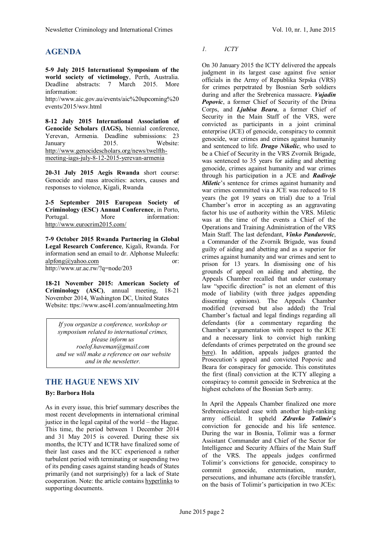# **AGENDA**

**5-9 July 2015 International Symposium of the world society of victimology**, Perth, Australia. Deadline abstracts: 7 March 2015. More information:

[http://www.aic.gov.au/events/aic%20upcoming%20](http://www.aic.gov.au/events/aic upcoming events/2015/wsv.html) [events/2015/wsv.html](http://www.aic.gov.au/events/aic upcoming events/2015/wsv.html)

**8-12 July 2015 International Association of Genocide Scholars (IAGS),** biennial conference, Yerevan, Armenia. Deadline submissions: 23 January 2015. Website: [http://www.genocidescholars.org/news/twelfth](http://www.genocidescholars.org/news/twelfth-meeting-iags-july-8-12-2015-yerevan-armenia)[meeting-iags-july-8-12-2015-yerevan-armenia](http://www.genocidescholars.org/news/twelfth-meeting-iags-july-8-12-2015-yerevan-armenia)

**20-31 July 2015 Aegis Rwanda** short course: Genocide and mass atrocities: actors, causes and responses to violence, Kigali, Rwanda

**2-5 September 2015 European Society of Criminology (ESC) Annual Conference**, in Porto, Portugal. More information: <http://www.eurocrim2015.com/>

**7-9 October 2015 Rwanda Partnering in Global Legal Research Conference**, Kigali, Rwanda. For information send an email to dr. Alphonse Muleefu: [alpfong@yahoo.com](mailto:alpfong@yahoo.com) or: http://www.ur.ac.rw/?q=node/203

**18-21 November 2015: American Society of Criminology (ASC)**, annual meeting, 18-21 November 2014, Washington DC, United States Website: ttps://www.asc41.com/annualmeeting.htm

*If you organize a conference, workshop or symposium related to international crimes, please inform us roelof.haveman@gmail.com and we will make a reference on our website and in the newsletter.*

# **THE HAGUE NEWS XIV**

### **By: Barbora Hola**

As in every issue, this brief summary describes the most recent developments in international criminal justice in the legal capital of the world – the Hague. This time, the period between 1 December 2014 and 31 May 2015 is covered. During these six months, the ICTY and ICTR have finalized some of their last cases and the ICC experienced a rather turbulent period with terminating or suspending two of its pending cases against standing heads of States primarily (and not surprisingly) for a lack of State cooperation. Note: the article contains hyperlinks to supporting documents.

### *1. ICTY*

On 30 January 2015 the ICTY delivered the appeals judgment in its largest case against five senior officials in the Army of Republika Srpska (VRS) for crimes perpetrated by Bosnian Serb soldiers during and after the Srebrenica massacre. *Vujadin Popovic*, a former Chief of Security of the Drina Corps, and *Ljubisa Beara*, a former Chief of Security in the Main Staff of the VRS, were convicted as participants in a joint criminal enterprise (JCE) of genocide, conspiracy to commit genocide, war crimes and crimes against humanity and sentenced to life. *Drago Nikolic*, who used to be a Chief of Security in the VRS Zvornik Brigade, was sentenced to 35 years for aiding and abetting genocide, crimes against humanity and war crimes through his participation in a JCE and *Radivoje Miletic*'s sentence for crimes against humanity and war crimes committed via a JCE was reduced to 18 years (he got 19 years on trial) due to a Trial Chamber's error in accepting as an aggravating factor his use of authority within the VRS. Miletic was at the time of the events a Chief of the Operations and Training Administration of the VRS Main Staff. The last defendant, *Vinko Pandurovic*, a Commander of the Zvornik Brigade, was found guilty of aiding and abetting and as a superior for crimes against humanity and war crimes and sent to prison for 13 years. In dismissing one of his grounds of appeal on aiding and abetting, the Appeals Chamber recalled that under customary law "specific direction" is not an element of this mode of liability (with three judges appending dissenting opinions). The Appeals Chamber modified (reversed but also added) the Trial Chamber's factual and legal findings regarding all defendants (for a commentary regarding the Chamber's argumentation with respect to the JCE and a necessary link to convict high ranking defendants of crimes perpetrated on the ground see [here\)](http://opiniojuris.org/2015/01/30/icty-upholds-genocide-convictions-srebrenica-case/). In addition, appeals judges granted the Prosecution's appeal and convicted Popovic and Beara for conspiracy for genocide. This constitutes the first (final) conviction at the ICTY alleging a conspiracy to commit genocide in Srebrenica at the highest echelons of the Bosnian Serb army.

In April the Appeals Chamber finalized one more Srebrenica-related case with another high-ranking army official. It upheld *Zdravko Tolimir*'s conviction for genocide and his life sentence. During the war in Bosnia, Tolimir was a former Assistant Commander and Chief of the Sector for Intelligence and Security Affairs of the Main Staff of the VRS. The appeals judges confirmed Tolimir's convictions for genocide, conspiracy to commit genocide, extermination, murder, persecutions, and inhumane acts (forcible transfer), on the basis of Tolimir's participation in two JCEs: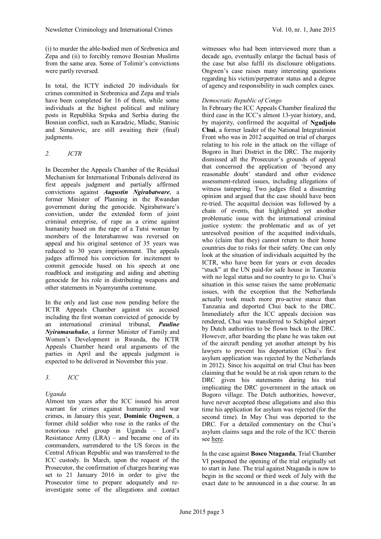(i) to murder the able-bodied men of Srebrenica and Zepa and (ii) to forcibly remove Bosnian Muslims from the same area. Some of Tolimir's convictions were partly reversed.

In total, the ICTY indicted 20 individuals for crimes committed in Srebrenica and Zepa and trials have been completed for 16 of them, while some individuals at the highest political and military posts in Republika Srpska and Serbia during the Bosnian conflict, such as Karadzic, Mladic, Stanisic and Simatovic, are still awaiting their (final) judgments.

#### *2. ICTR*

In December the Appeals Chamber of the Residual Mechanism for International Tribunals delivered its first appeals judgment and partially affirmed convictions against *Augustin Ngirabatware*, a former Minister of Planning in the Rwandan government during the genocide. Ngirabatware's conviction, under the extended form of joint criminal enterprise, of rape as a crime against humanity based on the rape of a Tutsi woman by members of the Interahamwe was reversed on appeal and his original sentence of 35 years was reduced to 30 years imprisonment. The appeals judges affirmed his conviction for incitement to commit genocide based on his speech at one roadblock and instigating and aiding and abetting genocide for his role in distributing weapons and other statements in Nyamyumba commune.

In the only and last case now pending before the ICTR Appeals Chamber against six accused including the first woman convicted of genocide by an international criminal tribunal, *Pauline Nyiramasuhuko*, a former Minister of Family and Women's Development in Rwanda, the ICTR Appeals Chamber heard oral arguments of the parties in April and the appeals judgment is expected to be delivered in November this year.

*3. ICC*

### *Uganda*

Almost ten years after the ICC issued his arrest warrant for crimes against humanity and war crimes, in January this year, **Dominic Ongwen**, a former child soldier who rose in the ranks of the notorious rebel group in Uganda – Lord's Resistance Army  $(LRA)$  – and became one of its commanders, surrendered to the US forces in the Central African Republic and was transferred to the ICC custody. In March, upon the request of the Prosecutor, the confirmation of charges hearing was set to 21 January 2016 in order to give the Prosecutor time to prepare adequately and reinvestigate some of the allegations and contact

witnesses who had been interviewed more than a decade ago, eventually enlarge the factual basis of the case but also fulfil its disclosure obligations. Ongwen's case raises many interesting questions regarding his victim/perpetrator status and a degree of agency and responsibility in such complex cases.

#### *Democratic Republic of Congo*

In February the ICC Appeals Chamber finalized the third case in the ICC's almost 13-year history, and, by majority, confirmed the acquittal of **Ngudjolo Chui**, a former leader of the National Integrationist Front who was in 2012 acquitted on trial of charges relating to his role in the attack on the village of Bogoro in Ituri District in the DRC. The majority dismissed all the Prosecutor's grounds of appeal that concerned the application of 'beyond any reasonable doubt' standard and other evidence assessment-related issues, including allegations of witness tampering. Two judges filed a dissenting opinion and argued that the case should have been re-tried. The acquittal decision was followed by a chain of events, that highlighted yet another problematic issue with the international criminal justice system: the problematic and as of yet unresolved position of the acquitted individuals, who (claim that they) cannot return to their home countries due to risks for their safety. One can only look at the situation of individuals acquitted by the ICTR, who have been for years or even decades "stuck" at the UN paid-for safe house in Tanzania with no legal status and no country to go to. Chui's situation in this sense raises the same problematic issues, with the exception that the Netherlands actually took much more pro-active stance than Tanzania and deported Chui back to the DRC. Immediately after the ICC appeals decision was rendered, Chui was transferred to Schiphol airport by Dutch authorities to be flown back to the DRC. However, after boarding the plane he was taken out of the aircraft pending yet another attempt by his lawyers to prevent his deportation (Chui's first asylum application was rejected by the Netherlands in 2012). Since his acquittal on trial Chui has been claiming that he would be at risk upon return to the DRC given his statements during his trial implicating the DRC government in the attack on Bogoro village. The Dutch authorities, however, have never accepted these allegations and also this time his application for asylum was rejected (for the second time). In May Chui was deported to the DRC. For a detailed commentary on the Chui's asylum claims saga and the role of the ICC therein see [here.](http://opiniojuris.org/2015/05/15/guest-post-the-end-of-the-road-for-ngudjolo-and-the-stacked-odds-against-icc-acquitted/)

In the case against **Bosco Ntaganda**, Trial Chamber VI postponed the opening of the trial originally set to start in June. The trial against Ntaganda is now to begin in the second or third week of July with the exact date to be announced in a due course. In an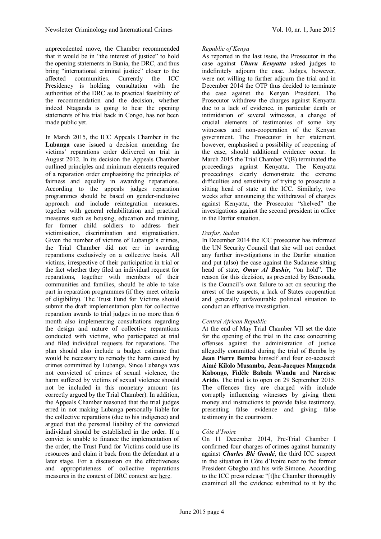unprecedented move, the Chamber recommended that it would be in "the interest of justice" to hold the opening statements in Bunia, the DRC, and thus bring "international criminal justice" closer to the affected communities. Currently the ICC Presidency is holding consultation with the authorities of the DRC as to practical feasibility of the recommendation and the decision, whether indeed Ntaganda is going to hear the opening statements of his trial back in Congo, has not been made public yet.

In March 2015, the ICC Appeals Chamber in the **Lubanga** case issued a decision amending the victims' reparations order delivered on trial in August 2012. In its decision the Appeals Chamber outlined principles and minimum elements required of a reparation order emphasizing the principles of fairness and equality in awarding reparations. According to the appeals judges reparation programmes should be based on gender-inclusive approach and include reintegration measures, together with general rehabilitation and practical measures such as housing, education and training, for former child soldiers to address their victimisation, discrimination and stigmatisation. Given the number of victims of Lubanga's crimes, the Trial Chamber did not err in awarding reparations exclusively on a collective basis. All victims, irrespective of their participation in trial or the fact whether they filed an individual request for reparations, together with members of their communities and families, should be able to take part in reparation programmes (if they meet criteria of eligibility). The Trust Fund for Victims should submit the draft implementation plan for collective reparation awards to trial judges in no more than 6 month also implementing consultations regarding the design and nature of collective reparations conducted with victims, who participated at trial and filed individual requests for reparations. The plan should also include a budget estimate that would be necessary to remedy the harm caused by crimes committed by Lubanga. Since Lubanga was not convicted of crimes of sexual violence, the harm suffered by victims of sexual violence should not be included in this monetary amount (as correctly argued by the Trial Chamber). In addition, the Appeals Chamber reasoned that the trial judges erred in not making Lubanga personally liable for the collective reparations (due to his indigence) and argued that the personal liability of the convicted individual should be established in the order. If a convict is unable to finance the implementation of the order, the Trust Fund for Victims could use its resources and claim it back from the defendant at a later stage. For a discussion on the effectiveness and appropriateness of collective reparations measures in the context of DRC contextseehe[re.](http://justiceinconflict.org/2015/04/24/repairing-and-reparations-buying-victims-silence-in-the-drc/)

#### *Republic of Kenya*

As reported in the last issue, the Prosecutor in the case against *Uhuru Kenyatta* asked judges to indefinitely adjourn the case. Judges, however, were not willing to further adjourn the trial and in December 2014 the OTP thus decided to terminate the case against the Kenyan President. The Prosecutor withdrew the charges against Kenyatta due to a lack of evidence, in particular death or intimidation of several witnesses, a change of crucial elements of testimonies of some key witnesses and non-cooperation of the Kenyan government. The Prosecutor in her statement, however, emphasised a possibility of reopening of the case, should additional evidence occur. In March 2015 the Trial Chamber V(B) terminated the proceedings against Kenyatta. The Kenyatta proceedings clearly demonstrate the extreme difficulties and sensitivity of trying to prosecute a sitting head of state at the ICC. Similarly, two weeks after announcing the withdrawal of charges against Kenyatta, the Prosecutor "shelved" the investigations against the second president in office in the Darfur situation.

#### *Darfur, Sudan*

In December 2014 the ICC prosecutor has informed the UN Security Council that she will not conduct any further investigations in the Darfur situation and put (also) the case against the Sudanese sitting head of state, *Omar Al Bashir*, "on hold". The reason for this decision, as presented by Bensouda, is the Council's own failure to act on securing the arrest of the suspects, a lack of States cooperation and generally unfavourable political situation to conduct an effective investigation.

### *Central African Republic*

At the end of May Trial Chamber VII set the date for the opening of the trial in the case concerning offenses against the administration of justice allegedly committed during the trial of Bemba by **Jean Pierre Bemba** himself and four co-accused: **Aimé Kilolo Musamba, Jean-Jacques Mangenda Kabongo, Fidèle Babala Wandu** and **Narcisse Arido***.* The trial is to open on 29 September 2015. The offences they are charged with include corruptly influencing witnesses by giving them money and instructions to provide false testimony, presenting false evidence and giving false testimony in the courtroom.

### *Côte d'Ivoire*

On 11 December 2014, Pre-Trial Chamber I confirmed four charges of crimes against humanity against *Charles Blé Goudé*, the third ICC suspect in the situation in Côte d'Ivoire next to the former President Gbagbo and his wife Simone. According to the ICC press release "[t]he Chamber thoroughly examined all the evidence submitted to it by the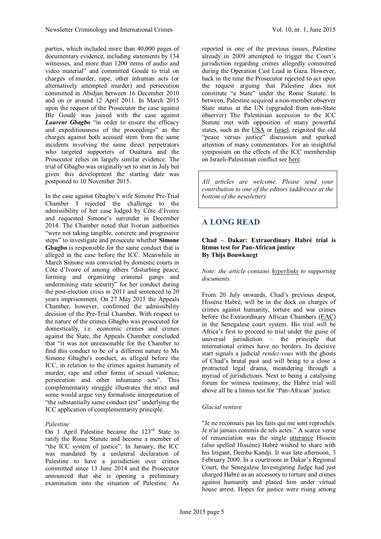parties, which included more than 40,000 pages of documentary evidence, including statements by 134 witnesses, and more than 1200 items of audio and video material" and committed Goudé to trial on charges of murder, rape, other inhuman acts (or alternatively attempted murder) and persecution committed in Abidjan between 16 December 2010 and on or around 12 April 2011. In March 2015 upon the request of the Prosecutor the case against Ble Goudé was joined with the case against *Laurent Gbagbo* "in order to ensure the efficacy and expeditiousness of the proceedings" as the charges against both accused stem from the same incidents involving the same direct perpetrators who targeted supporters of Ouattara and the Prosecutor relies on largely similar evidence. The trial of Gbagbo was originally set to start in July but given this development the starting date was postponed to 10 November 2015.

In the case against Gbagbo's wife Simone Pre-Trial Chamber I rejected the challenge to the admissibility of her case lodged by Côte d'Ivoire and requested Simone's surrender in December 2014. The Chamber noted that Ivorian authorities "were not taking tangible, concrete and progressive steps" to investigate and prosecute whether **Simone Gbagbo** is responsible for the same conduct that is alleged in the case before the ICC. Meanwhile in March Simone was convicted by domestic courts in Côte d'Ivoire of among others "disturbing peace, forming and organizing criminal gangs and undermining state security" for her conduct during the post-election crisis in 2011 and sentenced to 20 years imprisonment. On 27 May 2015 the Appeals Chamber, however, confirmed the admissibility decision of the Pre-Trial Chamber. With respect to the nature of the crimes Gbagbo was prosecuted for domestically, i.e. economic crimes and crimes against the State, the Appeals Chamber concluded that "it was not unreasonable for the Chamber to find this conduct to be of a different nature to Ms Simone Gbagbo's conduct, as alleged before the ICC, in relation to the crimes against humanity of murder, rape and other forms of sexual violence, persecution and other inhumane acts". This complementarity struggle illustrates the strict and some would argue very formalistic interpretation of "the substantially same conduct test" underlying the ICC application of complementarity principle.

#### *Palestine*

On 1 April Palestine became the 123<sup>rd</sup> State to ratify the Rome Statute and become a member of "the ICC system of justice". In January, the ICC was mandated by a unilateral declaration of Palestine to have a jurisdiction over crimes committed since 13 June 2014 and the Prosecutor announced that she is opening a preliminary examination into the situation of Palestine. As

reported in one of the previous issues, Palestine already in 2009 attempted to trigger the Court's jurisdiction regarding crimes allegedly committed during the Operation Cast Lead in Gaza. However, back in the time the Prosecutor rejected to act upon the request arguing that Palestine does not constitute "a State" under the Rome Statute. In between, Palestine acquired a non-member observer State status at the UN (upgraded from non-State observer) The Palestinian accession to the ICC Statute met with opposition of many powerful states, such asthe [USA](https://congress.gov/113/bills/hr83/BILLS-113hr83enr.pdf)or [Israel,](http://www.ft.com/cms/s/0/20797ecc-bdae-11e4-8cf3-00144feab7de.html?siteedition=uk#axzz3bEszN4lC) reignited the old "peace versus justice" discussion and sparked attention of many commentators. For an insightful symposium on the effects of the ICC membership on Israeli-Palestinian conflict seehe[re.](http://justiceinconflict.org/2015/03/31/palestine-and-the-international-criminal-court-a-symposium/)

*All articles are welcome. Please send your contribution to one of the editors (addresses at the bottom of the newsletter)*

# **A LONG READ**

#### **Chad – Dakar: Extraordinary Habré trial is litmus test for Pan-African justice By Thijs Bouwknegt**

*Note: the article contains hyperlinks to supporting documents.*

From 20 July onwards, Chad's previous despot, Hissène Habré, will be in the dock on charges of crimes against humanity, torture and war crimes before the Extraordinary African Chambers([EAC](http://www.chambresafricaines.org/index.php)) in the Senegalese court system. His trial will be Africa's first to proceed to trial under the guise of universal jurisdiction – the principle that international crimes have no borders. Its decisive start signals a judicial *rendez-vous* with the ghosts of Chad's brutal past and will bring to a close a protracted legal drama, meandering through a myriad of jurisdictions. Next to being a catalysing forum for witness testimony, the Habré trial will above all be a litmus test for 'Pan-African' justice.

#### *Glacial venture*

"Je ne reconnais pas les faits qui me sont reprochés. Je n'ai jamais commis de tels actes." A scarce verse of renunciation was the single [utterance](http://www.hrw.org/legacy/french/themes/habre-inculpation.html) Hissein (also spelled Hissène) Habré wished to share with his litigant, Demba Kandji. It was late afternoon, 3 February 2000. In a courtroom in Dakar's Regional Court, the Senegalese Investigating Judge had just charged Habré as an accessory to torture and crimes against humanity and placed him under virtual house arrest. Hopes for justice were rising among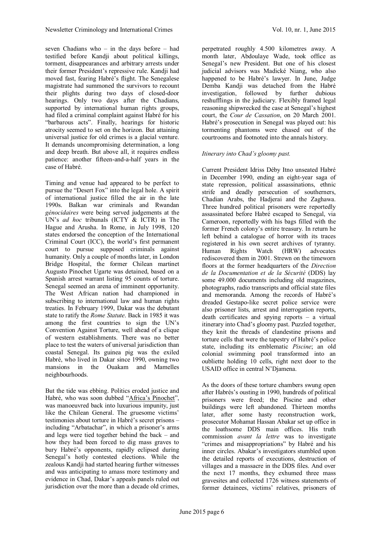seven Chadians who – in the days before – had testified before Kandji about political killings, torment, disappearances and arbitrary arrests under their former President's repressive rule. Kandji had moved fast, fearing Habré's flight. The Senegalese magistrate had summoned the survivors to recount their plights during two days of closed-door hearings. Only two days after the Chadians, supported by international human rights groups, had filed a criminal complaint against Habré for his "barbarous acts". Finally, hearings for historic atrocity seemed to set on the horizon. But attaining universal justice for old crimes is a glacial venture. It demands uncompromising determination, a long and deep breath. But above all, it requires endless patience: another fifteen-and-a-half years in the case of Habré.

Timing and venue had appeared to be perfect to pursue the "Desert Fox" into the legal hole. A spirit of international justice filled the air in the late 1990s. Balkan war criminals and Rwandan *génocidaires* were being served judgements at the UN's *ad hoc* tribunals (ICTY & ICTR) in The Hague and Arusha. In Rome, in July 1998, 120 states endorsed the conception of the International Criminal Court (ICC), the world's first permanent court to pursue supposed criminals against humanity. Only a couple of months later, in London Bridge Hospital, the former Chilean martinet Augusto Pinochet Ugarte was detained, based on a Spanish arrest warrant listing 95 counts of torture. Senegal seemed an arena of imminent opportunity. The West African nation had championed in subscribing to international law and human rights treaties. In February 1999, Dakar was the debutant state to ratify the *Rome Statute*. Back in 1985 it was among the first countries to sign the UN's Convention Against Torture, well ahead of a clique of western establishments. There was no better place to test the waters of universal jurisdiction than coastal Senegal. Its guinea pig was the exiled Habré, who lived in Dakar since 1990, owning two mansions in the Ouakam and Mamelles neighbourhoods.

But the tide was ebbing. Politics eroded justice and Habré, who was soon dubbed ["Africa's Pinochet"](http://www.nesl.edu/userfiles/file/lawreview/vol32/2/brody.pdf), was manoeuvred back into luxurious impunity, just like the Chilean General. The gruesome victims' testimonies about torture in Habré's secret prisons – including "Arbatachar", in which a prisoner's arms and legs were tied together behind the back – and how they had been forced to dig mass graves to bury Habré's opponents, rapidly eclipsed during Senegal's hotly contested elections. While the zealous Kandji had started hearing further witnesses and was anticipating to amass more testimony and evidence in Chad, Dakar's appeals panels ruled out jurisdiction over the more than a decade old crimes,

perpetrated roughly 4.500 kilometres away. A month later, Abdoulaye Wade, took office as Senegal's new President. But one of his closest judicial advisors was Madické Niang, who also happened to be Habré's lawyer. In June, Judge Demba Kandji was detached from the Habré investigation, followed by further dubious reshufflings in the judiciary. Flexibly framed legal reasoning shipwrecked the case at Senegal's highest court, the *Cour de Cassation*, on 20 March 2001. Habré's prosecution in Senegal was played out: his tormenting phantoms were chased out of the courtrooms and footnoted into the annals history.

#### *Itinerary into Chad's gloomy past.*

Current President Idriss Déby Itno unseated Habré in December 1990, ending an eight-year saga of state repression, political assassinations, ethnic strife and deadly persecution of southerners, Chadian Arabs, the Hadjerai and the Zaghawa. Three hundred political prisoners were reportedly assassinated before Habré escaped to Senegal, via Cameroon, reportedly with his bags filled with the former French colony's entire treasury. In return he left behind a catalogue of horror with its traces registered in his own secret archives of tyranny. Human Rights Watch (HRW) advocates rediscovered them in 2001. Strewn on the timeworn floors at the former headquarters of the *Direction de la Documentation et de la Sécurité* (DDS) lay some 49.000 documents including old magazines, photographs, radio transcripts and official state files and memoranda. Among the records of Habré's dreaded Gestapo-like secret police service were also prisoner lists, arrest and interrogation reports, death certificates and spying reports – a virtual itinerary into Chad's gloomy past. Puzzled together, they knit the threads of clandestine prisons and torture cells that were the tapestry of Habré's police state, including its emblematic *Piscine*; an old colonial swimming pool transformed into an oubliette holding 10 cells, right next door to the USAID office in central N'Djamena.

As the doors of these torture chambers swung open after Habrés's ousting in 1990, hundreds of political prisoners were freed; the Piscine and other buildings were left abandoned. Thirteen months later, after some hasty reconstruction work, prosecutor Mohamat Hassan Abakar set up office in the loathsome DDS main offices. His truth commission *avant la lettre* was to investigate "crimes and misappropriations" by Habré and his inner circles. Abakar's investigators stumbled upon the detailed reports of executions, destruction of villages and a massacre in the DDS files. And over the next 17 months, they exhumed three mass gravesites and collected 1726 witness statements of former detainees, victims' relatives, prisoners of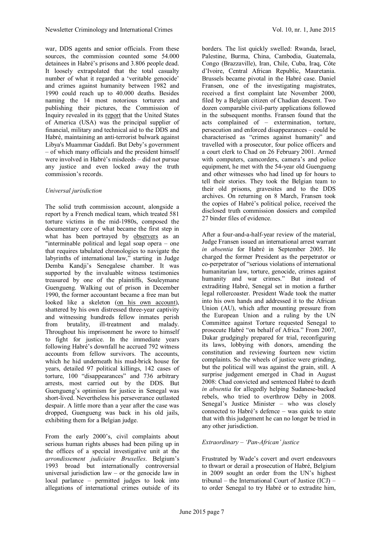war, DDS agents and senior officials. From these sources, the commission counted some 54.000 detainees in Habré's prisons and 3.806 people dead. It loosely extrapolated that the total casualty number of what it regarded a 'veritable genocide' and crimes against humanity between 1982 and 1990 could reach up to 40.000 deaths. Besides naming the 14 most notorious torturers and publishing their pictures, the Commission of Inquiry revealedinits [report](http://www.usip.org/sites/default/files/file/resources/collections/commissions/Chad-Report.pdf) that the United States of America (USA) was the principal supplier of financial, military and technical aid to the DDS and Habré, maintaining an anti-terrorist bulwark against Libya's Muammar Gaddafi. But Deby's government – of which many officials and the president himself were involved in Habré's misdeeds – did not pursue any justice and even locked away the truth commission's records.

#### *Universal jurisdiction*

The solid truth commission account, alongside a report by a French medical team, which treated 581 torture victims in the mid-1980s, composed the documentary core of what became the first step in whathas been portrayed by [observers](http://www.france24.com/en/20110711-justice-hissene-habre-african-legal-soap-opera-chad-senegal) as an "interminable political and legal soap opera – one that requires tabulated chronologies to navigate the labyrinths of international law," starting in Judge Demba Kandji's Senegalese chamber. It was supported by the invaluable witness testimonies treasured by one of the plaintiffs, Souleymane Guengueng. Walking out of prison in December 1990, the former accountant became a free man but looked like a skeleton([on his own account](http://www.hrw.org/news/2012/03/19/victims-violence-chad-our-last-chance-justice)), shattered by his own distressed three-year captivity and witnessing hundreds fellow inmates perish from brutality, ill-treatment and malady. Throughout his imprisonment he swore to himself to fight for justice. In the immediate years following Habré's downfall he accrued 792 witness accounts from fellow survivors. The accounts, which he hid underneath his mud-brick house for years, detailed 97 political killings, 142 cases of torture, 100 "disappearances" and 736 arbitrary arrests, most carried out by the DDS. But Guengueng's optimism for justice in Senegal was short-lived. Nevertheless his perseverance outlasted despair. A little more than a year after the case was dropped, Guengueng was back in his old jails, exhibiting them for a Belgian judge.

From the early 2000's, civil complaints about serious human rights abuses had been piling up in the offices of a special investigative unit at the *arrondissement judiciaire Bruxelles*. Belgium's 1993 broad but internationally controversial universal jurisdiction law – or the genocide law in local parlance – permitted judges to look into allegations of international crimes outside of its

borders. The list quickly swelled: Rwanda, Israel, Palestine, Burma, China, Cambodia, Guatemala, Congo (Brazzaville), Iran, Chile, Cuba, Iraq, Côte d'Ivoire, Central African Republic, Mauretania. Brussels became pivotal in the Habré case. Daniel Fransen, one of the investigating magistrates, received a first complaint late November 2000, filed by a Belgian citizen of Chadian descent. Two dozen comparable civil-party applications followed in the subsequent months. Fransen found that the acts complained of – extermination, torture, persecution and enforced disappearances – could be characterised as "crimes against humanity" and travelled with a prosecutor, four police officers and a court clerk to Chad on 26 February 2001. Armed with computers, camcorders, camera's and police equipment, he met with the 54-year old Guengueng and other witnesses who had lined up for hours to tell their stories. They took the Belgian team to their old prisons, gravesites and to the DDS archives. On returning on 8 March, Fransen took the copies of Habré's political police, received the disclosed truth commission dossiers and compiled 27 binder files of evidence.

After a four-and-a-half-year review of the material, Judge Fransen issued an international arrest warrant *in absentia* for Habré in September 2005. He charged the former President as the perpetrator or co-perpetrator of "serious violations of international humanitarian law, torture, genocide, crimes against humanity and war crimes." But instead of extraditing Habré, Senegal set in motion a further legal rollercoaster. President Wade took the matter into his own hands and addressed it to the African Union (AU), which after mounting pressure from the European Union and a ruling by the UN Committee against Torture requested Senegal to prosecute Habré "on behalf of Africa." From 2007, Dakar grudgingly prepared for trial, reconfiguring its laws, lobbying with donors, amending the constitution and reviewing fourteen new victim complaints. So the wheels of justice were grinding, but the political will was against the grain, still. A surprise judgement emerged in Chad in August 2008: Chad convicted and sentenced Habré to death *in absentia* for allegedly helping Sudanese-backed rebels, who tried to overthrow Déby in 2008. Senegal's Justice Minister – who was closely connected to Habré's defence – was quick to state that with this judgement he can no longer be tried in any other jurisdiction.

#### *Extraordinary – 'Pan-African' justice*

Frustrated by Wade's covert and overt endeavours to thwart or derail a prosecution of Habré, Belgium in 2009 sought an order from the UN's highest tribunal – the International Court of Justice  $(\overline{ICJ})$  – to order Senegal to try Habré or to extradite him,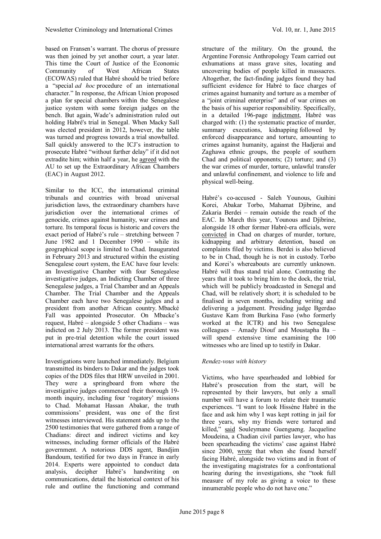based on Fransen's warrant. The chorus of pressure was then joined by yet another court, a year later. This time the Court of Justice of the Economic Community of West African States (ECOWAS) ruled that Habré should be tried before a "special *ad hoc* procedure of an international character." In response, the African Union proposed a plan for special chambers within the Senegalese justice system with some foreign judges on the bench. But again, Wade's administration ruled out holding Habré's trial in Senegal. When Macky Sall was elected president in 2012, however, the table was turned and progress towards a trial snowballed. Sall quickly answered to the ICJ's instruction to prosecute Habré "without further delay" if it did not extradite him; within half a year,he [agreed](http://www.chambresafricaines.org/pdf/Accord UA-Senegal Chambres africaines extra Aout 2012.pdf) with the AU to set up the Extraordinary African Chambers (EAC) in August 2012.

Similar to the ICC, the international criminal tribunals and countries with broad universal jurisdiction laws, the extraordinary chambers have jurisdiction over the international crimes of genocide, crimes against humanity, war crimes and torture. Its temporal focus is historic and covers the exact period of Habré's rule – stretching between 7 June 1982 and 1 December 1990 – while its geographical scope is limited to Chad. Inaugurated in February 2013 and structured within the existing Senegalese court system, the EAC have four levels: an Investigative Chamber with four Senegalese investigative judges, an Indicting Chamber of three Senegalese judges, a Trial Chamber and an Appeals Chamber. The Trial Chamber and the Appeals Chamber each have two Senegalese judges and a president from another African country. Mbacké Fall was appointed Prosecutor. On Mbacke's request, Habré – alongside 5 other Chadians – was indicted on 2 July 2013. The former president was put in pre-trial detention while the court issued international arrest warrants for the others.

Investigations were launched immediately. Belgium transmitted its binders to Dakar and the judges took copies of the DDS files that HRW unveiled in 2001. They were a springboard from where the investigative judges commenced their thorough 19 month inquiry, including four 'rogatory' missions to Chad. Mohamat Hassan Abakar, the truth commissions' president, was one of the first witnesses interviewed. His statement adds up to the 2500 testimonies that were gathered from a range of Chadians: direct and indirect victims and key witnesses, including former officials of the Habré government. A notorious DDS agent, Bandjim Bandoum, testified for two days in France in early 2014. Experts were appointed to conduct data analysis, decipher Habré's handwriting on communications, detail the historical context of his rule and outline the functioning and command

structure of the military. On the ground, the Argentine Forensic Anthropology Team carried out exhumations at mass grave sites, locating and uncovering bodies of people killed in massacres. Altogether, the fact-finding judges found they had sufficient evidence for Habré to face charges of crimes against humanity and torture as a member of a "joint criminal enterprise" and of war crimes on the basis of his superior responsibility. Specifically, in a detailed 196-page [indictment,](http://www.chambresafricaines.org/pdf/OrdonnanceRenvoi_CAE_13022015.pdf) Habré was charged with: (1) the systematic practice of murder, summary executions, kidnapping followed by enforced disappearance and torture, amounting to crimes against humanity, against the Hadjerai and Zaghawa ethnic groups, the people of southern Chad and political opponents; (2) torture; and (3) the war crimes of murder, torture, unlawful transfer and unlawful confinement, and violence to life and physical well-being.

Habré's co-accused - Saleh Younous, Guihini Korei, Abakar Torbo, Mahamat Djibrine, and Zakaria Berdei – remain outside the reach of the EAC. In March this year, Younous and Djibrine, alongside 18 other former Habré-era officials, were [convicted](http://www.hrw.org/sites/default/files/related_material/Extrait de l%27arr%C3%AAt de la Cour criminelle de N%27Djam%C3%A9na %2825 mars 2015%29_0.pdf) in Chad on charges of murder, torture, kidnapping and arbitrary detention, based on complaints filed by victims. Berdei is also believed to be in Chad, though he is not in custody. Torbo and Korei's whereabouts are currently unknown. Habré will thus stand trial alone. Contrasting the years that it took to bring him to the dock, the trial, which will be publicly broadcasted in Senegal and Chad, will be relatively short; it is scheduled to be finalised in seven months, including writing and delivering a judgement. Presiding judge Bgerdao Gustave Kam from Burkina Faso (who formerly worked at the ICTR) and his two Senegalese colleagues – Amady Diouf and Moustapha Ba – will spend extensive time examining the 100 witnesses who are lined up to testify in Dakar.

### *Rendez-vous with history*

Victims, who have spearheaded and lobbied for Habré's prosecution from the start, will be represented by their lawyers, but only a small number will have a forum to relate their traumatic experiences. "I want to look Hissène Habré in the face and ask him why I was kept rotting in jail for three years, why my friends were tortured and killed," [said](http://www.hrw.org/news/2015/05/13/senegal-hissene-habre-trial-begin-july-20) Souleymane Guengueng. Jacqueline Moudeina, a Chadian civil parties lawyer, who has been spearheading the victims' case against Habré since 2000, [wrote](http://africasacountry.com/what-former-chadian-dictator-hissene-habres-trial-next-month-senegal-means-to-his-victims/) that when she found herself facing Habré, alongside two victims and in front of the investigating magistrates for a confrontational hearing during the investigations, she "took full measure of my role as giving a voice to these innumerable people who do not have one."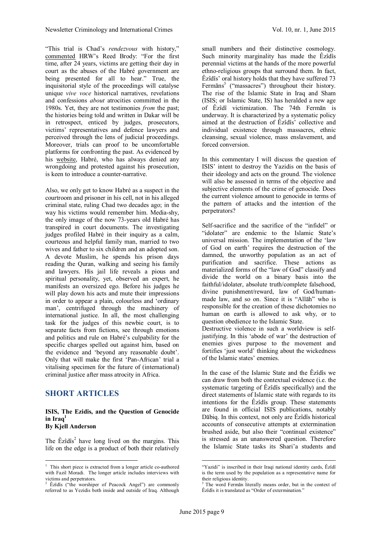"This trial is Chad's *rendezvous* with history," [commented](http://www.hrw.org/news/2015/01/16/chad-torture-detailed-trial) HRW's Reed Brody: "For the first time, after 24 years, victims are getting their day in court as the abuses of the Habré government are being presented for all to hear." True, the inquisitorial style of the proceedings will catalyse unique *vive voce* historical narratives, revelations and confessions *about* atrocities committed in the 1980s. Yet, they are not testimonies *from* the past; the histories being told and written in Dakar will be in retrospect, enticed by judges, prosecutors, victims' representatives and defence lawyers and perceived through the lens of judicial proceedings. Moreover, trials can proof to be uncomfortable platforms for confronting the past. As evidenced by his [website](http://www.hisseinhabre.com/), Habré, who has always denied any wrongdoing and protested against his prosecution, is keen to introduce a counter-narrative.

Also, we only get to know Habré as a suspect in the courtroom and prisoner in his cell, not in his alleged criminal state, ruling Chad two decades ago; in the way his victims would remember him. Media-shy, the only image of the now 73-years old Habré has transpired in court documents. The investigating judges profiled Habré in their inquiry as a calm, courteous and helpful family man, married to two wives and father to six children and an adopted son. A devote Muslim, he spends his prison days reading the Quran, walking and seeing his family and lawyers. His jail life reveals a pious and spiritual personality, yet, observed an expert, he manifests an oversized ego. Before his judges he will play down his acts and mute their impressions in order to appear a plain, colourless and 'ordinary man', centrifuged through the machinery of international justice. In all, the most challenging task for the judges of this newbie court, is to separate facts from fictions, see through emotions and politics and rule on Habré's culpability for the specific charges spelled out against him, based on the evidence and 'beyond any reasonable doubt'. Only that will make the first 'Pan-African' trial a vitalising specimen for the future of (international) criminal justice after mass atrocity in Africa.

### **SHORT ARTICLES**

#### **ISIS, The Ezidis, and the Question of Genocide**  $\int$ **in** $\int$ *Iraq***<sup>1</sup> By Kjell Anderson**

The  $\hat{E}z \hat{i} d\hat{i} s^2$  $\hat{E}z \hat{i} d\hat{i} s^2$  have long lived on the margins. This life on the edge is a product of both their relatively

small numbers and their distinctive cosmology. Such minority marginality has made the Êzîdîs perennial victims at the hands of the more powerful ethno-religious groups that surround them. In fact, Êzîdîs' oral history holds that they have suffered 73 Fermāns<sup>[3](#page-8-2)</sup> ("massacres") throughout their history. The rise of the Islamic State in Iraq and Sham (ISIS; or Islamic State, IS) has heralded a new age of Êzîdî victimization. The 74th Fermān is underway. It is characterized by a systematic policy aimed at the destruction of Êzîdîs' collective and individual existence through massacres, ethnic cleansing, sexual violence, mass enslavement, and forced conversion.

In this commentary I will discuss the question of ISIS' intent to destroy the Yazidis on the basis of their ideology and acts on the ground. The violence will also be assessed in terms of the objective and subjective elements of the crime of genocide. Does the current violence amount to genocide in terms of the pattern of attacks and the intention of the perpetrators?

Self-sacrifice and the sacrifice of the "infidel" or "idolater" are endemic to the Islamic State's universal mission. The implementation of the 'law of God on earth' requires the destruction of the damned, the unworthy population as an act of purification and sacrifice. These actions as materialized forms of the "law of God" classify and divide the world on a binary basis into the faithful/idolater, absolute truth/complete falsehood, divine punishment/reward, law of God/humanmade law, and so on. Since it is "Allāh" who is responsible for the creation of these dichotomies no human on earth is allowed to ask why, or to question obedience to the Islamic State.

Destructive violence in such a worldview is selfjustifying. In this 'abode of war' the destruction of enemies gives purpose to the movement and fortifies 'just world' thinking about the wickedness of the Islamic states' enemies.

In the case of the Islamic State and the Êzîdîs we can draw from both the contextual evidence (i.e. the systematic targeting of Êzîdîs specifically) and the direct statements of Islamic state with regards to its intentions for the Êzîdîs group. These statements are found in official ISIS publications, notably Dābiq. In this context, not only are Êzîdîs historical accounts of consecutive attempts at extermination brushed aside, but also their "continual existence" is stressed as an unanswered question. Therefore the Islamic State tasks its Shari'a students and

<span id="page-8-0"></span><sup>&</sup>lt;sup>1</sup> This short piece is extracted from a longer article co-authored with Fazil Moradi. The longer article includes interviews with victims and perpetrators. <sup>2</sup> Êzîdîs ("the worshiper of Peacock Angel") are commonly

<span id="page-8-1"></span>referred to as Yezidis both inside and outside of Iraq. Although

<sup>&</sup>quot;Yazidi" is inscribed in their Iraqi national identity cards, Êzîdî is the term used by the population as a representative name for their religious identity.

<span id="page-8-2"></span><sup>&</sup>lt;sup>3</sup> The word Fermān literally means order, but in the context of Êzîdîs it is translated as "Order of extermination."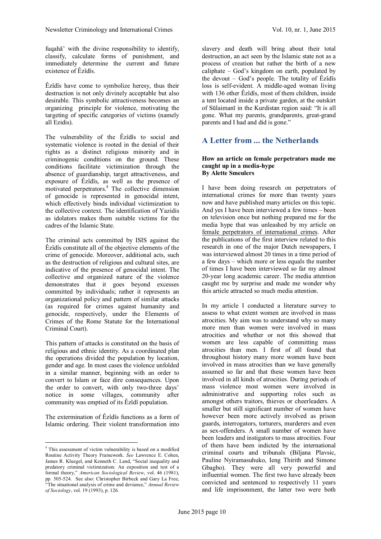fuqahā' with the divine responsibility to identify, classify, calculate forms of punishment, and immediately determine the current and future existence of Êzîdîs.

Êzîdîs have come to symbolize heresy, thus their destruction is not only divinely acceptable but also desirable. This symbolic attractiveness becomes an organizing principle for violence, motivating the targeting of specific categories of victims (namely all Ezidis).

The vulnerability of the Êzîdîs to social and systematic violence is rooted in the denial of their rights as a distinct religious minority and in criminogenic conditions on the ground. These conditions facilitate victimization through the absence of guardianship, target attractiveness, and exposure of Êzîdîs, as well as the presence of motivated perpetrators.[4](#page-9-0) The collective dimension of genocide is represented in genocidal intent, which effectively binds individual victimization to the collective context. The identification of Yazidis as idolators makes them suitable victims for the cadres of the Islamic State.

The criminal acts committed by ISIS against the Êzîdîs constitute all of the objective elements of the crime of genocide. Moreover, additional acts, such as the destruction of religious and cultural sites, are indicative of the presence of genocidal intent. The collective and organized nature of the violence demonstrates that it goes beyond excesses committed by individuals; rather it represents an organizational policy and pattern of similar attacks (as required for crimes against humanity and genocide, respectively, under the Elements of Crimes of the Rome Statute for the International Criminal Court).

This pattern of attacks is constituted on the basis of religious and ethnic identity. As a coordinated plan the operations divided the population by location, gender and age. In most cases the violence unfolded in a similar manner, beginning with an order to convert to Islam or face dire consequences. Upon the order to convert, with only two-three days' notice in some villages, community after community was emptied of its Êzîdî population.

The extermination of Êzîdîs functions as a form of Islamic ordering. Their violent transformation into

slavery and death will bring about their total destruction, an act seen by the Islamic state not as a process of creation but rather the birth of a new caliphate – God's kingdom on earth, populated by the devout  $-$  God's people. The totality of  $\hat{E}z\hat{i}$ d $\hat{i}$ s loss is self-evident. A middle-aged woman living with 136 other Êzîdîs, most of them children, inside a tent located inside a private garden, at the outskirt of Sūlaimanī in the Kurdistan region said: "It is all gone. What my parents, grandparents, great-grand parents and I had and did is gone."

# **A Letter from ... the Netherlands**

#### **How an article on female perpetrators made me caught up in a media-hype By Alette Smeulers**

I have been doing research on perpetrators of international crimes for more than twenty years now and have published many articles on this topic. And yes I have been interviewed a few times – been on television once but nothing prepared me for the media hype that was unleashed by my article on [female perpetrators of international crimes.](http://alettesmeulers.org/images/Smeulers_2015_Female_perpetrators.pdf) After the publications of the first interview related to this research in one of the major Dutch newspapers, I was interviewed almost 20 times in a time period of a few days – which more or less equals the number of times I have been interviewed so far my almost 20-year long academic career. The media attention caught me by surprise and made me wonder why this article attracted so much media attention.

In my article I conducted a literature survey to assess to what extent women are involved in mass atrocities. My aim was to understand why so many more men than women were involved in mass atrocities and whether or not this showed that women are less capable of committing mass atrocities than men. I first of all found that throughout history many more women have been involved in mass atrocities than we have generally assumed so far and that these women have been involved in all kinds of atrocities. During periods of mass violence most women were involved in administrative and supporting roles such as amongst others traitors, thieves or cheerleaders. A smaller but still significant number of women have however been more actively involved as prison guards, interrogators, torturers, murderers and even as sex-offenders. A small number of women have been leaders and instigators to mass atrocities. Four of them have been indicted by the international criminal courts and tribunals (Biljana Plavsic, Pauline Nyiramasuhuko, Ieng Thirith and Simone Gbagbo). They were all very powerful and influential women. The first two have already been convicted and sentenced to respectively 11 years and life imprisonment, the latter two were both

<span id="page-9-0"></span><sup>4</sup> This assessment of victim vulnerability is based on a modified Routine Activity Theory Framework. *See* Lawrence E. Cohen, James R. Kluegel, and Kenneth C. Land, "Social inequality and predatory criminal victimization: An exposition and test of a formal theory," *American Sociological Review*, vol. 46 (1981), pp. 505-524. See also: Christopher Birbeck and Gary La Free, "The situational analysis of crime and deviance," *Annual Review of Sociology*, vol. 19 (1993), p. 126.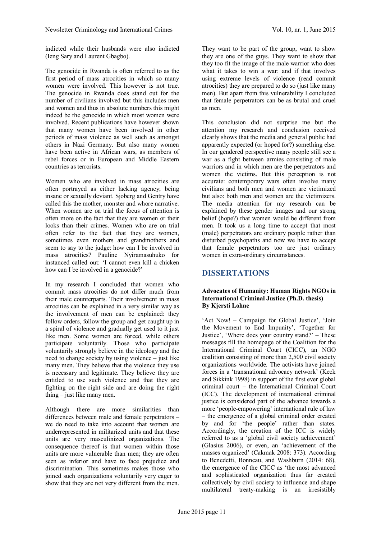indicted while their husbands were also indicted (Ieng Sary and Laurent Gbagbo).

The genocide in Rwanda is often referred to as the first period of mass atrocities in which so many women were involved. This however is not true. The genocide in Rwanda does stand out for the number of civilians involved but this includes men and women and thus in absolute numbers this might indeed be the genocide in which most women were involved. Recent publications have however shown that many women have been involved in other periods of mass violence as well such as amongst others in Nazi Germany. But also many women have been active in African wars, as members of rebel forces or in European and Middle Eastern countries as terrorists.

Women who are involved in mass atrocities are often portrayed as either lacking agency; being insane or sexually deviant. Sjoberg and Gentry have called this the mother, monster and whore narrative. When women are on trial the focus of attention is often more on the fact that they are women or their looks than their crimes. Women who are on trial often refer to the fact that they are women, sometimes even mothers and grandmothers and seem to say to the judge: how can I be involved in mass atrocities? Pauline Nyiramasuhuko for instanced called out: 'I cannot even kill a chicken how can I be involved in a genocide?'

In my research I concluded that women who commit mass atrocities do not differ much from their male counterparts. Their involvement in mass atrocities can be explained in a very similar way as the involvement of men can be explained: they follow orders, follow the group and get caught up in a spiral of violence and gradually get used to it just like men. Some women are forced, while others participate voluntarily. Those who participate voluntarily strongly believe in the ideology and the need to change society by using violence – just like many men. They believe that the violence they use is necessary and legitimate. They believe they are entitled to use such violence and that they are fighting on the right side and are doing the right thing – just like many men.

Although there are more similarities than differences between male and female perpetrators – we do need to take into account that women are underrepresented in militarized units and that these units are very masculinized organizations. The consequence thereof is that women within those units are more vulnerable than men; they are often seen as inferior and have to face prejudice and discrimination. This sometimes makes those who joined such organizations voluntarily very eager to show that they are not very different from the men.

They want to be part of the group, want to show they are one of the guys. They want to show that they too fit the image of the male warrior who does what it takes to win a war: and if that involves using extreme levels of violence (read commit atrocities) they are prepared to do so (just like many men). But apart from this vulnerability I concluded that female perpetrators can be as brutal and cruel as men.

This conclusion did not surprise me but the attention my research and conclusion received clearly shows that the media and general public had apparently expected (or hoped for?) something else. In our gendered perspective many people still see a war as a fight between armies consisting of male warriors and in which men are the perpetrators and women the victims. But this perception is not accurate: contemporary wars often involve many civilians and both men and women are victimized but also: both men and women are the victimizers. The media attention for my research can be explained by these gender images and our strong belief (hope?) that women would be different from men. It took us a long time to accept that most (male) perpetrators are ordinary people rather than disturbed psychopaths and now we have to accept that female perpetrators too are just ordinary women in extra-ordinary circumstances.

# **DISSERTATIONS**

#### **Advocates of Humanity: Human Rights NGOs in International Criminal Justice (Ph.D. thesis) By Kjersti Lohne**

'Act Now! – Campaign for Global Justice', 'Join the Movement to End Impunity', 'Together for Justice', 'Where does your country stand?' – These messages fill the homepage of the Coalition for the International Criminal Court (CICC), an NGO coalition consisting of more than 2,500 civil society organizations worldwide. The activists have joined forces in a 'transnational advocacy network' (Keck and Sikkink 1998) in support of the first ever global criminal court – the International Criminal Court (ICC). The development of international criminal justice is considered part of the advance towards a more 'people-empowering' international rule of law – the emergence of a global criminal order created by and for 'the people' rather than states. Accordingly, the creation of the ICC is widely referred to as a 'global civil society achievement' (Glasius 2006), or even, an 'achievement of the masses organized' (Cakmak 2008: 373). According to Benedetti, Bonneau, and Washburn (2014: 68), the emergence of the CICC as 'the most advanced and sophisticated organization thus far created collectively by civil society to influence and shape multilateral treaty-making is an irresistibly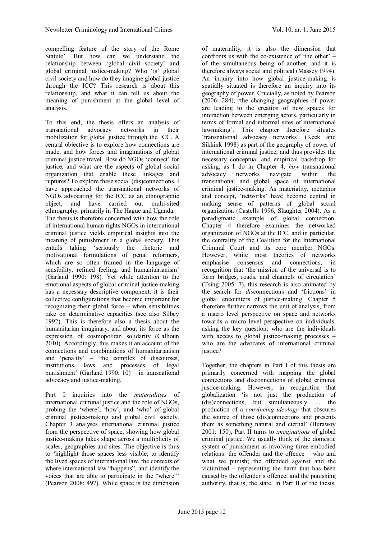compelling feature of the story of the Rome Statute'. But how can we understand the relationship between 'global civil society' and global criminal justice-making? Who 'is' global civil society and how do they imagine global justice through the ICC? This research is about this relationship, and what it can tell us about the meaning of punishment at the global level of analysis.

To this end, the thesis offers an analysis of transnational advocacy networks in their mobilization for global justice through the ICC. A central objective is to explore how connections are made, and how forces and imaginations of global criminal justice travel. How do NGOs 'connect' for justice, and what are the aspects of global social organization that enable these linkages and ruptures? To explore these social (dis)connections, I have approached the transnational networks of NGOs advocating for the ICC as an ethnographic object, and have carried out multi-sited ethnography, primarily in The Hague and Uganda. The thesis is therefore concerned with how the role of international human rights NGOs in international criminal justice yields empirical insights into the meaning of punishment in a global society. This entails taking 'seriously the rhetoric and motivational formulations of penal reformers, which are so often framed in the language of sensibility, refined feeling, and humanitarianism' (Garland 1990: 198). Yet while attention to the emotional aspects of global criminal justice-making has a necessary descriptive component, it is their collective configurations that become important for recognizing their global force – when sensibilities take on determinative capacities (see also Silbey 1992). This is therefore also a thesis about the humanitarian imaginary, and about its force as the expression of cosmopolitan solidarity (Calhoun 2010). Accordingly, this makes it an account of the connections and combinations of humanitarianism and 'penality' – 'the complex of discourses, institutions, laws and processes of legal punishment' (Garland 1990: 10) – in transnational advocacy and justice-making.

Part I inquiries into the *materialities* of international criminal justice and the role of NGOs, probing the 'where', 'how', and 'who' of global criminal justice-making and global civil society. Chapter 3 analyses international criminal justice from the perspective of space, showing how global justice-making takes shape across a multiplicity of scales, geographies and sites. The objective is thus to 'highlight those spaces less visible, to identify the lived spaces of international law, the contexts of where international law "happens", and identify the voices that are able to participate in the "where"' (Pearson 2008: 497). While space is the dimension

of materiality, it is also the dimension that confronts us with the co-existence of 'the other' – of the simultaneous being of another, and it is therefore always social and political (Massey 1994). An inquiry into how global justice-making is spatially situated is therefore an inquiry into its geography of power. Crucially, as noted by Pearson (2006: 284), 'the changing geographies of power are leading to the creation of new spaces for interaction between emerging actors, particularly in terms of formal and informal sites of international lawmaking'. This chapter therefore situates 'transnational advocacy networks' (Keck and Sikkink 1998) as part of the geography of power of international criminal justice, and thus provides the necessary conceptual and empirical backdrop for asking, as I do in Chapter 4, *how* transnational advocacy networks navigate within the transnational and global space of international criminal justice-making. As materiality, metaphor and concept, 'networks' have become central in making sense of patterns of global social organization (Castells 1996, Slaughter 2004). As a paradigmatic example of global connection, Chapter 4 therefore examines the networked organization of NGOs at the ICC, and in particular, the centrality of the Coalition for the International Criminal Court and its core member NGOs. However, while most theories of networks emphasise consensus and connections, in recognition that 'the mission of the universal is to form bridges, roads, and channels of circulation' (Tsing 2005: 7), this research is also animated by the search for *dis*connections and 'frictions' in global encounters of justice-making. Chapter 5 therefore further narrows the unit of analysis, from a macro level perspective on space and networks towards a micro level perspective on individuals, asking the key question: who are the individuals with access to global justice-making processes – who are the advocates of international criminal justice?

Together, the chapters in Part I of this thesis are primarily concerned with mapping the global connections and disconnections of global criminal justice-making. However, in recognition that globalization 'is not just the production of (dis)connections, but simultaneously … the production of a *convincing ideology* that obscures the source of those (dis)connections and presents them as something natural and eternal' (Burawoy 2001: 150), Part II turns to *imaginations* of global criminal justice. We usually think of the domestic system of punishment as involving three embodied relations: the offender and the offence – who and what we punish; the offended against and the victimized – representing the harm that has been caused by the offender's offence; and the punishing authority, that is, the state. In Part II of the thesis,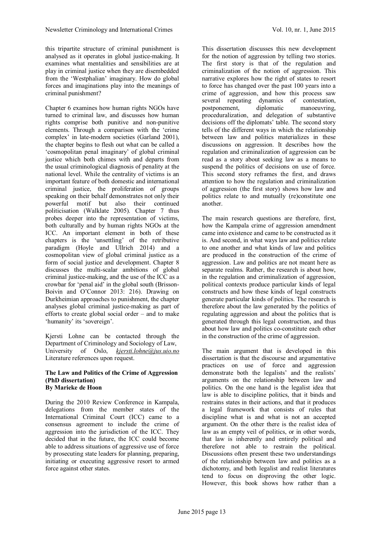this tripartite structure of criminal punishment is analysed as it operates in global justice-making. It examines what mentalities and sensibilities are at play in criminal justice when they are disembedded from the 'Westphalian' imaginary. How do global forces and imaginations play into the meanings of criminal punishment?

Chapter 6 examines how human rights NGOs have turned to criminal law, and discusses how human rights comprise both punitive and non-punitive elements. Through a comparison with the 'crime complex' in late-modern societies (Garland 2001), the chapter begins to flesh out what can be called a 'cosmopolitan penal imaginary' of global criminal justice which both chimes with and departs from the usual criminological diagnosis of penality at the national level. While the centrality of victims is an important feature of both domestic and international criminal justice, the proliferation of groups speaking on their behalf demonstrates not only their powerful motif but also their continued politicisation (Walklate 2005). Chapter 7 thus probes deeper into the representation of victims, both culturally and by human rights NGOs at the ICC. An important element in both of these chapters is the 'unsettling' of the retributive paradigm (Hoyle and Ullrich 2014) and a cosmopolitan view of global criminal justice as a form of social justice and development. Chapter 8 discusses the multi-scalar ambitions of global criminal justice-making, and the use of the ICC as a crowbar for 'penal aid' in the global south (Brisson-Boivin and O'Connor 2013: 216). Drawing on Durkheimian approaches to punishment, the chapter analyses global criminal justice-making as part of efforts to create global social order – and to make 'humanity' its 'sovereign'.

Kjersti Lohne can be contacted through the Department of Criminology and Sociology of Law, University of Oslo, *[kjersti.lohne@jus.uio.no](mailto:kjersti.lohne@jus.uio.no)* Literature references upon request.

#### **The Law and Politics of the Crime of Aggression (PhD dissertation) By Marieke de Hoon**

During the 2010 Review Conference in Kampala, delegations from the member states of the International Criminal Court (ICC) came to a consensus agreement to include the crime of aggression into the jurisdiction of the ICC. They decided that in the future, the ICC could become able to address situations of aggressive use of force by prosecuting state leaders for planning, preparing, initiating or executing aggressive resort to armed force against other states.

This dissertation discusses this new development for the notion of aggression by telling two stories. The first story is that of the regulation and criminalization of the notion of aggression. This narrative explores how the right of states to resort to force has changed over the past 100 years into a crime of aggression, and how this process saw several repeating dynamics of contestation, postponement, diplomatic manoeuvring, proceduralization, and delegation of substantive decisions off the diplomats' table. The second story tells of the different ways in which the relationship between law and politics materializes in these discussions on aggression. It describes how the regulation and criminalization of aggression can be read as a story about seeking law as a means to suspend the politics of decisions on use of force. This second story reframes the first, and draws attention to how the regulation and criminalization of aggression (the first story) shows how law and politics relate to and mutually (re)constitute one another.

The main research questions are therefore, first, how the Kampala crime of aggression amendment came into existence and came to be constructed as it is. And second, in what ways law and politics relate to one another and what kinds of law and politics are produced in the construction of the crime of aggression. Law and politics are not meant here as separate realms. Rather, the research is about how, in the regulation and criminalization of aggression, political contexts produce particular kinds of legal constructs and how these kinds of legal constructs generate particular kinds of politics. The research is therefore about the law generated by the politics of regulating aggression and about the politics that is generated through this legal construction, and thus about how law and politics co-constitute each other in the construction of the crime of aggression.

The main argument that is developed in this dissertation is that the discourse and argumentative practices on use of force and aggression demonstrate both the legalists' and the realists' arguments on the relationship between law and politics. On the one hand is the legalist idea that law is able to discipline politics, that it binds and restrains states in their actions, and that it produces a legal framework that consists of rules that discipline what is and what is not an accepted argument. On the other there is the realist idea of law as an empty veil of politics, or in other words, that law is inherently and entirely political and therefore not able to restrain the political. Discussions often present these two understandings of the relationship between law and politics as a dichotomy, and both legalist and realist literatures tend to focus on disproving the other logic. However, this book shows how rather than a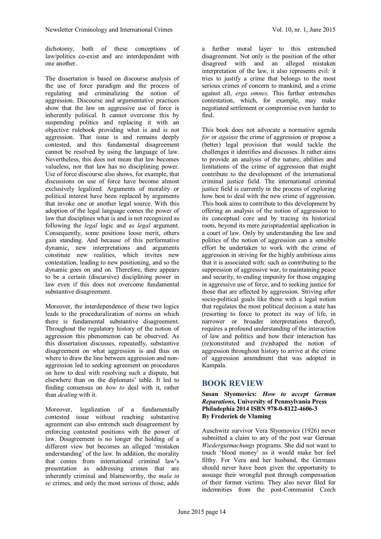dichotomy, both of these conceptions of law/politics co-exist and are interdependent with one another.

The dissertation is based on discourse analysis of the use of force paradigm and the process of regulating and criminalizing the notion of aggression. Discourse and argumentative practices show that the law on aggressive use of force is inherently political. It cannot overcome this by suspending politics and replacing it with an objective rulebook providing what is and is not aggression. That issue is and remains deeply contested, and this fundamental disagreement cannot be resolved by using the language of law. Nevertheless, this does not mean that law becomes valueless, nor that law has no disciplining power. Use of force discourse also shows, for example, that discussions on use of force have become almost exclusively legalized. Arguments of morality or political interest have been replaced by arguments that invoke one or another legal source. With this adoption of the legal language comes the power of law that disciplines what is and is not recognized as following the *legal* logic and as *legal* argument. Consequently, some positions loose merit, others gain standing. And because of this performative dynamic, new interpretations and arguments constitute new realities, which invites new contestation, leading to new positioning, and so the dynamic goes on and on. Therefore, there appears to be a certain (discursive) disciplining power in law even if this does not overcome fundamental substantive disagreement.

Moreover, the interdependence of these two logics leads to the proceduralization of norms on which there is fundamental substantive disagreement. Throughout the regulatory history of the notion of aggression this phenomenon can be observed. As this dissertation discusses, repeatedly, substantive disagreement on what aggression is and thus on where to draw the line between aggression and nonaggression led to seeking agreement on procedures on how to deal with resolving such a dispute, but elsewhere than on the diplomats' table. It led to finding consensus on *how to* deal with it, rather than *dealing* with it.

Moreover, legalization of a fundamentally contested issue without reaching substantive agreement can also entrench such disagreement by enforcing contested positions with the power of law. Disagreement is no longer the holding of a different view but becomes an alleged 'mistaken understanding' of the law. In addition, the morality that comes from international criminal law's presentation as addressing crimes that are inherently criminal and blameworthy, the *mala in se* crimes, and only the most serious of those, adds

a further moral layer to this entrenched disagreement. Not only is the position of the other disagreed with and an alleged mistaken interpretation of the law, it also represents evil: it tries to justify a crime that belongs to the most serious crimes of concern to mankind, and a crime against all, *erga omnes*. This further entrenches contestation, which, for example, may make negotiated settlement or compromise even harder to find.

This book does not advocate a normative agenda *for* or *against* the crime of aggression or propose a (better) legal provision that would tackle the challenges it identifies and discusses. It rather aims to provide an analysis of the nature, abilities and limitations of the crime of aggression that might contribute to the development of the international criminal justice field. The international criminal justice field is currently in the process of exploring how best to deal with the new crime of aggression. This book aims to contribute to this development by offering an analysis of the notion of aggression to its conceptual core and by tracing its historical roots, beyond its mere jurisprudential application in a court of law. Only by understanding the law and politics of the notion of aggression can a sensible effort be undertaken to work with the crime of aggression in striving for the highly ambitious aims that it is associated with: such as contributing to the suppression of aggressive war, to maintaining peace and security, to ending impunity for those engaging in aggressive use of force, and to seeking justice for those that are affected by aggression. Striving after socio-political goals like these with a legal notion that regulates the most political decision a state has (resorting to force to protect its way of life, in narrower or broader interpretations thereof), requires a profound understanding of the interaction of law and politics and how their interaction has (re)constituted and (re)shaped the notion of aggression throughout history to arrive at the crime of aggression amendment that was adopted in Kampala.

# **BOOK REVIEW**

**Susan Slyomovics:** *How to accept German Reparations,* **University of Pennsylvania Press Philadephia 2014 ISBN 978-0-8122-4606-3 By Frederiek de Vlaming**

Auschwitz survivor Vera Slyomovics (1926) never submitted a claim to any of the post war German *Wiedergutmachungs* programs. She did not want to touch 'blood money' as it would make her feel filthy. For Vera and her husband, the Germans should never have been given the opportunity to assuage their wrongful past through compensation of their former victims. They also never filed for indemnities from the post-Communist Czech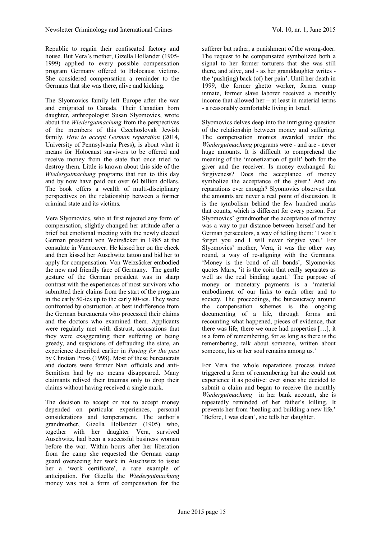Republic to regain their confiscated factory and house. But Vera's mother, Gizella Hollander (1905- 1999) applied to every possible compensation program Germany offered to Holocaust victims. She considered compensation a reminder to the Germans that she was there, alive and kicking.

The Slyomovics family left Europe after the war and emigrated to Canada. Their Canadian born daughter, anthropologist Susan Slyomovics, wrote about the *Wiedergutmachung* from the perspectives of the members of this Czechoslovak Jewish family. *How to accept German reparation* (2014, University of Pennsylvania Press), is about what it means for Holocaust survivors to be offered and receive money from the state that once tried to destroy them. Little is known about this side of the *Wiedergutmachung* programs that run to this day and by now have paid out over 60 billion dollars. The book offers a wealth of multi-disciplinary perspectives on the relationship between a former criminal state and its victims.

Vera Slyomovics, who at first rejected any form of compensation, slightly changed her attitude after a brief but emotional meeting with the newly elected German president von Weizsäcker in 1985 at the consulate in Vancouver. He kissed her on the cheek and then kissed her Auschwitz tattoo and bid her to apply for compensation. Von Weizsäcker embodied the new and friendly face of Germany. The gentle gesture of the German president was in sharp contrast with the experiences of most survivors who submitted their claims from the start of the program in the early 50-ies up to the early 80-ies. They were confronted by obstruction, at best indifference from the German bureaucrats who processed their claims and the doctors who examined them. Applicants were regularly met with distrust, accusations that they were exaggerating their suffering or being greedy, and suspicions of defrauding the state, an experience described earlier in *Paying for the past* by Chrstian Pross (1998). Most of these bureaucrats and doctors were former Nazi officials and anti-Semitism had by no means disappeared. Many claimants relived their traumas only to drop their claims without having received a single mark.

The decision to accept or not to accept money depended on particular experiences, personal considerations and temperament. The author's grandmother, Gizella Hollander (1905) who, together with her daughter Vera, survived Auschwitz, had been a successful business woman before the war. Within hours after her liberation from the camp she requested the German camp guard overseeing her work in Auschwitz to issue her a 'work certificate', a rare example of anticipation. For Gizella the *Wiedergutmachung* money was not a form of compensation for the

sufferer but rather, a punishment of the wrong-doer. The request to be compensated symbolized both a signal to her former torturers that she was still there, and alive, and - as her granddaughter writes the 'push(ing) back (of) her pain'. Until her death in 1999, the former ghetto worker, former camp inmate, former slave laborer received a monthly income that allowed her – at least in material terms - a reasonably comfortable living in Israel.

Slyomovics delves deep into the intriguing question of the relationship between money and suffering. The compensation monies awarded under the *Wiedergutmachung* programs were - and are - never huge amounts. It is difficult to comprehend the meaning of the 'monetization of guilt' both for the giver and the receiver. Is money exchanged for forgiveness? Does the acceptance of money symbolize the acceptance of the giver? And are reparations ever enough? Slyomovics observes that the amounts are never a real point of discussion. It is the symbolism behind the few hundred marks that counts, which is different for every person. For Slyomovics' grandmother the acceptance of money was a way to put distance between herself and her German persecutors, a way of telling them: 'I won't forget you and I will never forgive you.' For Slyomovics' mother, Vera, it was the other way round, a way of re-aligning with the Germans. 'Money is the bond of all bonds', Slyomovics quotes Marx, 'it is the coin that really separates as well as the real binding agent.' The purpose of money or monetary payments is a 'material embodiment of our links to each other and to society. The proceedings, the bureaucracy around the compensation schemes is the ongoing documenting of a life, through forms and recounting what happened, pieces of evidence, that there was life, there we once had properties […], it is a form of remembering, for as long as there is the remembering, talk about someone, written about someone, his or her soul remains among us.'

For Vera the whole reparations process indeed triggered a form of remembering but she could not experience it as positive: ever since she decided to submit a claim and began to receive the monthly *Wiedergutmachung* in her bank account, she is repeatedly reminded of her father's killing. It prevents her from 'healing and building a new life.' 'Before, I was clean', she tells her daughter.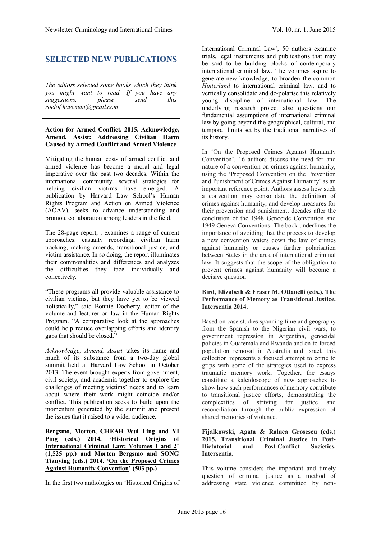# **SELECTED NEW PUBLICATIONS**

*The editors selected some books which they think you might want to read. If you have any suggestions, please send this roelof.haveman@gmail.com*

#### **Action for Armed Conflict. 2015. Acknowledge, Amend, Assist: Addressing Civilian Harm Caused by Armed Conflict and Armed Violence**

Mitigating the human costs of armed conflict and armed violence has become a moral and legal imperative over the past two decades. Within the international community, several strategies for helping civilian victims have emerged. A publication by Harvard Law School's Human Rights Program and Action on Armed Violence (AOAV), seeks to advance understanding and promote collaboration among leaders in the field.

The 28-page report, , examines a range of current approaches: casualty recording, civilian harm tracking, making amends, transitional justice, and victim assistance. In so doing, the report illuminates their commonalities and differences and analyzes the difficulties they face individually and collectively.

"These programs all provide valuable assistance to civilian victims, but they have yet to be viewed holistically," said Bonnie Docherty, editor of the volume and lecturer on law in the Human Rights Program. "A comparative look at the approaches could help reduce overlapping efforts and identify gaps that should be closed."

*Acknowledge, Amend, Assist* takes its name and much of its substance from a two-day global summit held at Harvard Law School in October 2013. The event brought experts from government, civil society, and academia together to explore the challenges of meeting victims' needs and to learn about where their work might coincide and/or conflict. This publication seeks to build upon the momentum generated by the summit and present the issues that it raised to a wider audience.

**Bergsmo, Morten, CHEAH Wui Ling and YI Ping (eds.) 2014.'[Historical Origins of](http://fichl.us5.list-manage.com/track/click?u=e2f902f28b8d5cc80761dee44&id=6a8847e9b6&e=618ecc59b2) [International Criminal Law: Volumes 1 and 2](http://fichl.us5.list-manage.com/track/click?u=e2f902f28b8d5cc80761dee44&id=6a8847e9b6&e=618ecc59b2)' (1,525 pp.) and Morten Bergsmo and SONG Tianying (eds.) 2014. ['On the Proposed Crimes](http://fichl.us5.list-manage.com/track/click?u=e2f902f28b8d5cc80761dee44&id=ec538e1497&e=618ecc59b2) [Against Humanity Convention](http://fichl.us5.list-manage.com/track/click?u=e2f902f28b8d5cc80761dee44&id=ec538e1497&e=618ecc59b2)' (503 pp.)**

In the first two anthologies on 'Historical Origins of

International Criminal Law', 50 authors examine trials, legal instruments and publications that may be said to be building blocks of contemporary international criminal law. The volumes aspire to generate new knowledge, to broaden the common *Hinterland* to international criminal law, and to vertically consolidate and de-polarise this relatively young discipline of international law. The underlying research project also questions our fundamental assumptions of international criminal law by going beyond the geographical, cultural, and temporal limits set by the traditional narratives of its history.

In 'On the Proposed Crimes Against Humanity Convention', 16 authors discuss the need for and nature of a convention on crimes against humanity, using the 'Proposed Convention on the Prevention and Punishment of Crimes Against Humanity' as an important reference point. Authors assess how such a convention may consolidate the definition of crimes against humanity, and develop measures for their prevention and punishment, decades after the conclusion of the 1948 Genocide Convention and 1949 Geneva Conventions. The book underlines the importance of avoiding that the process to develop a new convention waters down the law of crimes against humanity or causes further polarisation between States in the area of international criminal law. It suggests that the scope of the obligation to prevent crimes against humanity will become a decisive question.

#### **Bird, Elizabeth & Fraser M. Ottanelli (eds.). [The](http://www.intersentia.co.uk/SearchDetail.aspx?bookId=103048&title=The%20Performance%20of%20Memory%20as%20Transitional%20Justice) [Performance of Memory as Transitional Justice.](http://www.intersentia.co.uk/SearchDetail.aspx?bookId=103048&title=The%20Performance%20of%20Memory%20as%20Transitional%20Justice) Intersentia 2014.**

Based on case studies spanning time and geography from the Spanish to the Nigerian civil wars, to government repression in Argentina, genocidal policies in Guatemala and Rwanda and on to forced population removal in Australia and Israel, this collection represents a focused attempt to come to grips with some of the strategies used to express traumatic memory work. Together, the essays constitute a kaleidoscope of new approaches to show how such performances of memory contribute to transitional justice efforts, demonstrating the complexities of striving for justice and reconciliation through the public expression of shared memories of violence.

#### **Fijalkowski, Agata & Raluca Grosescu (eds.) 2015. [Transitional Criminal Justice in Post-](http://www.intersentia.co.uk/searchDetail.aspx?back=reeks&reeksCode=STJ&bookid=103046&author=Agata+Fijalkowski,+Raluca+Grosescu&title=Transitional+Criminal+Justice+in+Post-Dictatorial+and+Post-Conflict+Societies)Dictatorial and Post-Conflict Intersentia.**

This volume considers the important and timely question of criminal justice as a method of addressing state violence committed by non-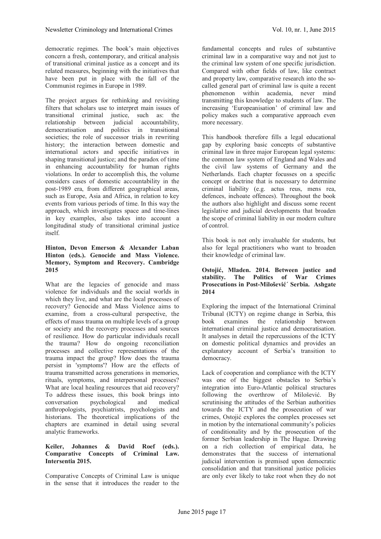democratic regimes. The book's main objectives concern a fresh, contemporary, and critical analysis of transitional criminal justice as a concept and its related measures, beginning with the initiatives that have been put in place with the fall of the Communist regimes in Europe in 1989.

The project argues for rethinking and revisiting filters that scholars use to interpret main issues of transitional criminal justice, such as: the relationship between judicial accountability, democratisation and politics in transitional societies; the role of successor trials in rewriting history; the interaction between domestic and international actors and specific initiatives in shaping transitional justice; and the paradox of time in enhancing accountability for human rights violations. In order to accomplish this, the volume considers cases of domestic accountability in the post-1989 era, from different geographical areas, such as Europe, Asia and Africa, in relation to key events from various periods of time. In this way the approach, which investigates space and time-lines in key examples, also takes into account a longitudinal study of transitional criminal justice itself.

#### **Hinton, Devon Emerson & Alexander Laban Hinton (eds.). Genocide and Mass Violence. Memory, Symptom and Recovery. Cambridge 2015**

What are the legacies of genocide and mass violence for individuals and the social worlds in which they live, and what are the local processes of recovery? Genocide and Mass Violence aims to examine, from a cross-cultural perspective, the effects of mass trauma on multiple levels of a group or society and the recovery processes and sources of resilience. How do particular individuals recall the trauma? How do ongoing reconciliation processes and collective representations of the trauma impact the group? How does the trauma persist in 'symptoms'? How are the effects of trauma transmitted across generations in memories, rituals, symptoms, and interpersonal processes? What are local healing resources that aid recovery? To address these issues, this book brings into conversation psychological and medical anthropologists, psychiatrists, psychologists and historians. The theoretical implications of the chapters are examined in detail using several analytic frameworks.

#### **Keiler, Johannes & David Roef (eds.). [Comparative Concepts of Criminal Law.](http://intersentia.us9.list-manage.com/track/click?u=478cc592697edcb7971cdb551&id=5023674d1e&e=7b062e2f82) Intersentia 2015.**

Comparative Concepts of Criminal Law is unique in the sense that it introduces the reader to the

fundamental concepts and rules of substantive criminal law in a comparative way and not just to the criminal law system of one specific jurisdiction. Compared with other fields of law, like contract and property law, comparative research into the socalled general part of criminal law is quite a recent phenomenon within academia, never mind transmitting this knowledge to students of law. The increasing 'Europeanisation' of criminal law and policy makes such a comparative approach even more necessary.

This handbook therefore fills a legal educational gap by exploring basic concepts of substantive criminal law in three major European legal systems: the common law system of England and Wales and the civil law systems of Germany and the Netherlands. Each chapter focusses on a specific concept or doctrine that is necessary to determine criminal liability (e.g. actus reus, mens rea, defences, inchoate offences). Throughout the book the authors also highlight and discuss some recent legislative and judicial developments that broaden the scope of criminal liability in our modern culture of control.

This book is not only invaluable for students, but also for legal practitioners who want to broaden their knowledge of criminal law.

#### **Ostojić, Mladen. 2014. Between justice and stability. The Politics of War Crimes Prosecutions in Post-Milošević´ Serbia. Ashgate 2014**

Exploring the impact of the International Criminal Tribunal (ICTY) on regime change in Serbia, this book examines the relationship between international criminal justice and democratisation. It analyses in detail the repercussions of the ICTY on domestic political dynamics and provides an explanatory account of Serbia's transition to democracy.

Lack of cooperation and compliance with the ICTY was one of the biggest obstacles to Serbia's integration into Euro-Atlantic political structures following the overthrow of Milošević. By scrutinising the attitudes of the Serbian authorities towards the ICTY and the prosecution of war crimes, Ostojić explores the complex processes set in motion by the international community's policies of conditionality and by the prosecution of the former Serbian leadership in The Hague. Drawing on a rich collection of empirical data, he demonstrates that the success of international judicial intervention is premised upon democratic consolidation and that transitional justice policies are only ever likely to take root when they do not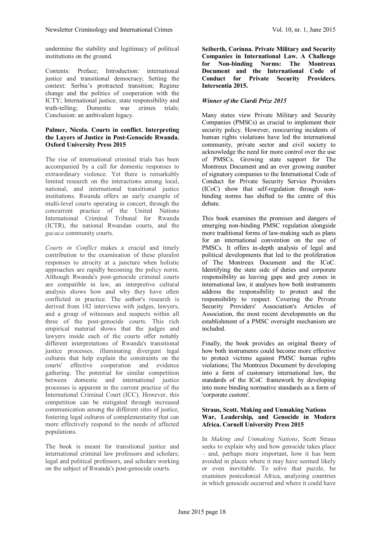undermine the stability and legitimacy of political institutions on the ground.

Contents: Preface; Introduction: international justice and transitional democracy; Setting the context: Serbia's protracted transition; Regime change and the politics of cooperation with the ICTY; International justice, state responsibility and truth-telling; Domestic war crimes trials; Conclusion: an ambivalent legacy.

#### **Palmer, Nicola. Courts in conflict. Interpreting the Layers of Justice in Post-Genocide Rwanda. Oxford University Press 2015**

The rise of international criminal trials has been accompanied by a call for domestic responses to extraordinary violence. Yet there is remarkably limited research on the interactions among local, national, and international transitional justice institutions. Rwanda offers an early example of multi-level courts operating in concert, through the concurrent practice of the United Nations International Criminal Tribunal for Rwanda (ICTR), the national Rwandan courts, and the *gacaca* community courts.

*Courts in Conflict* makes a crucial and timely contribution to the examination of these pluralist responses to atrocity at a juncture when holistic approaches are rapidly becoming the policy norm. Although Rwanda's post-genocide criminal courts are compatible in law, an interpretive cultural analysis shows how and why they have often conflicted in practice. The author's research is derived from 182 interviews with judges, lawyers, and a group of witnesses and suspects within all three of the post-genocide courts. This rich empirical material shows that the judges and lawyers inside each of the courts offer notably different interpretations of Rwanda's transitional justice processes, illuminating divergent legal cultures that help explain the constraints on the courts' effective cooperation and evidence gathering. The potential for similar competition between domestic and international justice processes is apparent in the current practice of the International Criminal Court (ICC). However, this competition can be mitigated through increased communication among the different sites of justice, fostering legal cultures of complementarity that can more effectively respond to the needs of affected populations.

The book is meant for transitional justice and international criminal law professors and scholars; legal and political professors, and scholars working on the subject of Rwanda's post-genocide courts.

**Seiberth, Corinna. [Private Military and Security](http://intersentia.us9.list-manage1.com/track/click?u=478cc592697edcb7971cdb551&id=3fb5e4b59c&e=7b062e2f82) [Companies in International Law.](http://intersentia.us9.list-manage1.com/track/click?u=478cc592697edcb7971cdb551&id=3fb5e4b59c&e=7b062e2f82) A Challenge for Non-binding Norms: The Montreux Document and the International Code of Conduct for Private Security Providers. Intersentia 2015.**

### *Winner of the Ciardi Prize 2015*

Many states view Private Military and Security Companies (PMSCs) as crucial to implement their security policy. However, reoccurring incidents of human rights violations have led the international community, private sector and civil society to acknowledge the need for more control over the use of PMSCs. Growing state support for The Montreux Document and an ever growing number of signatory companies to the International Code of Conduct for Private Security Service Providers (ICoC) show that self-regulation through nonbinding norms has shifted to the centre of this debate.

This book examines the promises and dangers of emerging non-binding PMSC regulation alongside more traditional forms of law-making such as plans for an international convention on the use of PMSCs. It offers in-depth analysis of legal and political developments that led to the proliferation of The Montreux Document and the ICoC. Identifying the state side of duties and corporate responsibility as leaving gaps and grey zones in international law, it analyses how both instruments address the responsibility to protect and the responsibility to respect. Covering the Private Security Providers' Association's Articles of Association, the most recent developments on the establishment of a PMSC oversight mechanism are included.

Finally, the book provides an original theory of how both instruments could become more effective to protect victims against PMSC human rights violations; The Montreux Document by developing into a form of customary international law, the standards of the ICoC framework by developing into more binding normative standards as a form of 'corporate custom'.

#### **Straus, Scott. Making and Unmaking Nations War, Leadership, and Genocide in Modern Africa. [Cornell University Press](http://www.cornellpress.cornell.edu/publishers/?fa=publisher&NameP=Cornell%20University%20Press) 2015**

In *Making and Unmaking Nations*, Scott Straus seeks to explain why and how genocide takes place – and, perhaps more important, how it has been avoided in places where it may have seemed likely or even inevitable. To solve that puzzle, he examines postcolonial Africa, analyzing countries in which genocide occurred and where it could have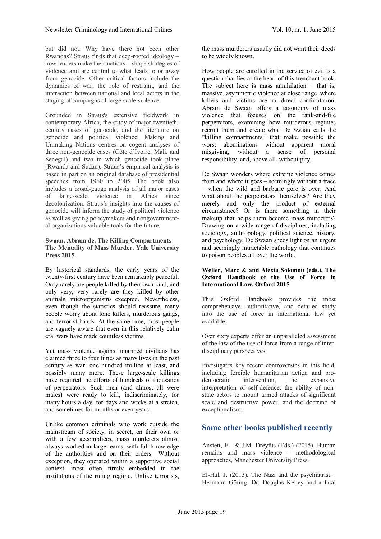but did not. Why have there not been other Rwandas? Straus finds that deep-rooted ideology – how leaders make their nations – shape strategies of violence and are central to what leads to or away from genocide. Other critical factors include the dynamics of war, the role of restraint, and the interaction between national and local actors in the staging of campaigns of large-scale violence.

Grounded in Straus's extensive fieldwork in contemporary Africa, the study of major twentiethcentury cases of genocide, and the literature on genocide and political violence, Making and Unmaking Nations centres on cogent analyses of three non-genocide cases (Côte d'Ivoire, Mali, and Senegal) and two in which genocide took place (Rwanda and Sudan). Straus's empirical analysis is based in part on an original database of presidential speeches from 1960 to 2005. The book also includes a broad-gauge analysis of all major cases of large-scale violence in Africa since decolonization. Straus's insights into the causes of genocide will inform the study of political violence as well as giving policymakers and nongovernmental organizations valuable tools for the future.

#### **Swaan, Abram de. The Killing Compartments The Mentality of Mass Murder. Yale University Press 2015.**

By historical standards, the early years of the twenty-first century have been remarkably peaceful. Only rarely are people killed by their own kind, and only very, very rarely are they killed by other animals, microorganisms excepted. Nevertheless, even though the statistics should reassure, many people worry about lone killers, murderous gangs, and terrorist bands. At the same time, most people are vaguely aware that even in this relatively calm era, wars have made countless victims.

Yet mass violence against unarmed civilians has claimed three to four times as many lives in the past century as war: one hundred million at least, and possibly many more. These large-scale killings have required the efforts of hundreds of thousands of perpetrators. Such men (and almost all were males) were ready to kill, indiscriminately, for many hours a day, for days and weeks at a stretch, and sometimes for months or even years.

Unlike common criminals who work outside the mainstream of society, in secret, on their own or with a few accomplices, mass murderers almost always worked in large teams, with full knowledge of the authorities and on their orders. Without exception, they operated within a supportive social context, most often firmly embedded in the institutions of the ruling regime. Unlike terrorists,

the mass murderers usually did not want their deeds to be widely known.

How people are enrolled in the service of evil is a question that lies at the heart of this trenchant book. The subject here is mass annihilation – that is, massive, asymmetric violence at close range, where killers and victims are in direct confrontation. Abram de Swaan offers a taxonomy of mass violence that focuses on the rank-and-file perpetrators, examining how murderous regimes recruit them and create what De Swaan calls the "killing compartments" that make possible the worst abominations without apparent moral misgiving, without a sense of personal responsibility, and, above all, without pity.

De Swaan wonders where extreme violence comes from and where it goes – seemingly without a trace – when the wild and barbaric gore is over. And what about the perpetrators themselves? Are they merely and only the product of external circumstance? Or is there something in their makeup that helps them become mass murderers? Drawing on a wide range of disciplines, including sociology, anthropology, political science, history, and psychology, De Swaan sheds light on an urgent and seemingly intractable pathology that continues to poison peoples all over the world.

#### **Weller, Marc & and Alexia Solomou (eds.). The Oxford Handbook of the Use of Force in International Law. Oxford 2015**

This Oxford Handbook provides the most comprehensive, authoritative, and detailed study into the use of force in international law yet available.

Over sixty experts offer an unparalleled assessment of the law of the use of force from a range of interdisciplinary perspectives.

Investigates key recent controversies in this field, including forcible humanitarian action and prodemocratic intervention, the expansive interpretation of self-defence, the ability of nonstate actors to mount armed attacks of significant scale and destructive power, and the doctrine of exceptionalism.

# **Some other books published recently**

Anstett, E. & J.M. Dreyfus (Eds.) (2015). Human remains and mass violence – methodological approaches, Manchester University Press.

El-Hal. J.  $(2013)$ . The Nazi and the psychiatrist – Hermann Göring, Dr. Douglas Kelley and a fatal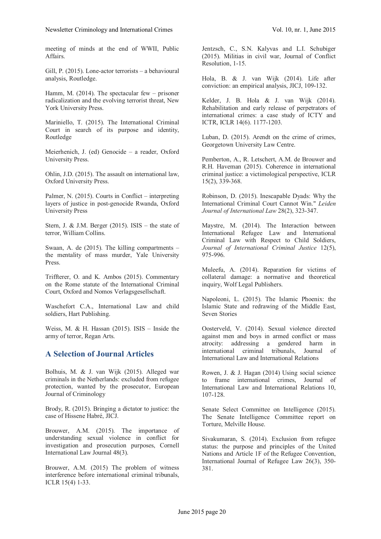meeting of minds at the end of WWII, Public Affairs.

Gill, P. (2015). Lone-actor terrorists – a behavioural analysis, Routledge.

Hamm, M. (2014). The spectacular few – prisoner radicalization and the evolving terrorist threat, New York University Press.

Mariniello, T. (2015). The International Criminal Court in search of its purpose and identity, Routledge

Meierhenich, J. (ed) Genocide – a reader, Oxford University Press.

Ohlin, J.D. (2015). The assault on international law, Oxford University Press.

Palmer, N. (2015). Courts in Conflict – interpreting layers of justice in post-genocide Rwanda, Oxford University Press

Stern, J. & J.M. Berger  $(2015)$ . ISIS – the state of terror, William Collins.

Swaan, A. de (2015). The killing compartments – the mentality of mass murder, Yale University Press.

Triffterer, O. and K. Ambos (2015). Commentary on the Rome statute of the International Criminal Court, Oxford and Nomos Verlagsgesellschaft.

Waschefort C.A., International Law and child soldiers, Hart Publishing.

Weiss, M. & H. Hassan (2015). ISIS – Inside the army of terror, Regan Arts.

# **A Selection of Journal Articles**

Bolhuis, M. & J. van Wijk (2015). Alleged war criminals in the Netherlands: excluded from refugee protection, wanted by the prosecutor, European Journal of Criminology

Brody, R. (2015). Bringing a dictator to justice: the case of Hissene Habré, JICJ.

Brouwer, A.M. (2015). The importance of understanding sexual violence in conflict for investigation and prosecution purposes, Cornell International Law Journal 48(3).

Brouwer, A.M. (2015) The problem of witness interference before international criminal tribunals, ICLR 15(4) 1-33.

Jentzsch, C., S.N. Kalyvas and L.I. Schubiger (2015). Militias in civil war, Journal of Conflict Resolution, 1-15.

Hola, B. & J. van Wijk (2014). Life after conviction: an empirical analysis, JICJ, 109-132.

Kelder, J. B. Hola & J. van Wijk (2014). Rehabilitation and early release of perpetrators of international crimes: a case study of ICTY and ICTR, ICLR 14(6). 1177-1203.

Luban, D. (2015). Arendt on the crime of crimes, Georgetown University Law Centre.

Pemberton, A., R. Letschert, A.M. de Brouwer and R.H. Haveman (2015). Coherence in international criminal justice: a victimological perspective, ICLR 15(2), 339-368.

Robinson, D. (2015). Inescapable Dyads: Why the International Criminal Court Cannot Win." *Leiden Journal of International Law* 28(2), 323-347.

Maystre, M. (2014). The Interaction between International Refugee Law and International Criminal Law with Respect to Child Soldiers, *Journal of International Criminal Justice* 12(5), 975-996.

Muleefu, A. (2014). Reparation for victims of collateral damage: a normative and theoretical inquiry, Wolf Legal Publishers.

Napoleoni, L. (2015). The Islamic Phoenix: the Islamic State and redrawing of the Middle East, Seven Stories

Oosterveld, V. (2014). Sexual violence directed against men and boys in armed conflict or mass atrocity: addressing a gendered harm in international criminal tribunals, Journal of International Law and International Relations

Rowen, J. & J. Hagan (2014) Using social science to frame international crimes, Journal of International Law and International Relations 10, 107-128.

Senate Select Committee on Intelligence (2015). The Senate Intelligence Committee report on Torture, Melville House.

Sivakumaran, S. (2014). Exclusion from refugee status: the purpose and principles of the United Nations and Article 1F of the Refugee Convention, International Journal of Refugee Law 26(3), 350- 381.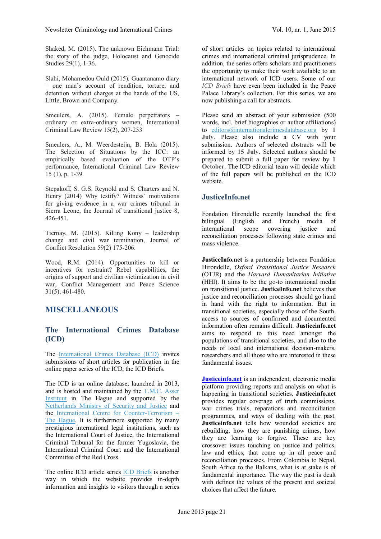Shaked, M. (2015). The unknown Eichmann Trial: the story of the judge, Holocaust and Genocide Studies 29(1), 1-36.

Slahi, Mohamedou Ould (2015). Guantanamo diary – one man's account of rendition, torture, and detention without charges at the hands of the US, Little, Brown and Company.

Smeulers, A. (2015). Female perpetrators ordinary or extra-ordinary women, International Criminal Law Review 15(2), 207-253

Smeulers, A., M. Weerdesteijn, B. Hola (2015). The Selection of Situations by the ICC: an empirically based evaluation of the OTP's performance, International Criminal Law Review 15 (1), p. 1-39.

Stepakoff, S. G.S. Reynold and S. Charters and N. Henry (2014) Why testify? Witness' motivations for giving evidence in a war crimes tribunal in Sierra Leone, the Journal of transitional justice 8, 426-451.

Tiernay, M. (2015). Killing Kony – leadership change and civil war termination, Journal of Conflict Resolution 59(2) 175-206.

Wood, R.M. (2014). Opportunities to kill or incentives for restraint? Rebel capabilities, the origins of support and civilian victimization in civil war, Conflict Management and Peace Science 31(5), 461-480.

### **MISCELLANEOUS**

# **The International Crimes Database (ICD)**

The [International Crimes Database \(ICD\)](https://go.madmimi.com/redirects/1433241856-8265bb7c050bbd60ce73fa52cbe0c2d2-f872387?pa=30707850235) invites submissions of short articles for publication in the online paper series of the ICD, the ICD Briefs.

The ICD is an online database, launched in 2013, and is hosted and maintained by the [T.M.C. Asser](https://go.madmimi.com/redirects/1433241856-20f0732daf9a8eda1f2e8a0179603408-f872387?pa=30707850235) [Instituut](https://go.madmimi.com/redirects/1433241856-20f0732daf9a8eda1f2e8a0179603408-f872387?pa=30707850235) in The Hague and supported by the [Netherlands Ministry of Security and Justice](https://go.madmimi.com/redirects/1433241856-1d1679ef038bad832c1797210441ee48-f872387?pa=30707850235) and the [International Centre for Counter-Terrorism –](https://go.madmimi.com/redirects/1433241856-1eedd780cb95bb70de1b31824f7d7023-f872387?pa=30707850235) [The Hague](https://go.madmimi.com/redirects/1433241856-1eedd780cb95bb70de1b31824f7d7023-f872387?pa=30707850235). It is furthermore supported by many prestigious international legal institutions, such as the International Court of Justice, the International Criminal Tribunal for the former Yugoslavia, the International Criminal Court and the International Committee of the Red Cross.

The online ICD article series **[ICD Briefs](https://go.madmimi.com/redirects/1433241856-22ed03d3c14322dcccd4e54d588391f9-f872387?pa=30707850235)** is another way in which the website provides in-depth information and insights to visitors through a series of short articles on topics related to international crimes and international criminal jurisprudence. In addition, the series offers scholars and practitioners the opportunity to make their work available to an international network of ICD users. Some of our *ICD Briefs* have even been included in the Peace Palace Library's collection. For this series, we are now publishing a call for abstracts.

Please send an abstract of your submission (500 words, incl. brief biographies or author affiliations) to [editors@internationalcrimesdatabase.org](mailto:editors@internationalcrimesdatabase.org) by **1 July**. Please also include a CV with your submission. Authors of selected abstracts will be informed by **15 July**. Selected authors should be prepared to submit a full paper for review by **1 October**. The ICD editorial team will decide which of the full papers will be published on the ICD website.

### **JusticeInfo.net**

Fondation Hirondelle recently launched the first bilingual (English and French) media of<br>international scope covering justice and international scope covering justice reconciliation processes following state crimes and mass violence.

**JusticeInfo.net** is a partnership between Fondation Hirondelle, *Oxford Transitional Justice Research* (OTJR) and the *Harvard Humanitarian Initiative* (HHI). It aims to be the go-to international media on transitional justice. **JusticeInfo.net** believes that justice and reconciliation processes should go hand in hand with the right to information. But in transitional societies, especially those of the South, access to sources of confirmed and documented information often remains difficult. **Justiceinfo.net** aims to respond to this need amongst the populations of transitional societies, and also to the needs of local and international decision-makers researchers and all those who are interested in these fundamental issues.

**[Justiceinfo.net](http://www.justiceinfo.net/)** is an independent, electronic media platform providing reports and analysis on what is happening in transitional societies. **Justiceinfo.net** provides regular coverage of truth commissions, war crimes trials, reparations and reconciliation programmes, and ways of dealing with the past. **Justiceinfo.net** tells how wounded societies are rebuilding, how they are punishing crimes, how they are learning to forgive. These are key crossover issues touching on justice and politics, law and ethics, that come up in all peace and reconciliation processes. From Colombia to Nepal, South Africa to the Balkans, what is at stake is of fundamental importance. The way the past is dealt with defines the values of the present and societal choices that affect the future.